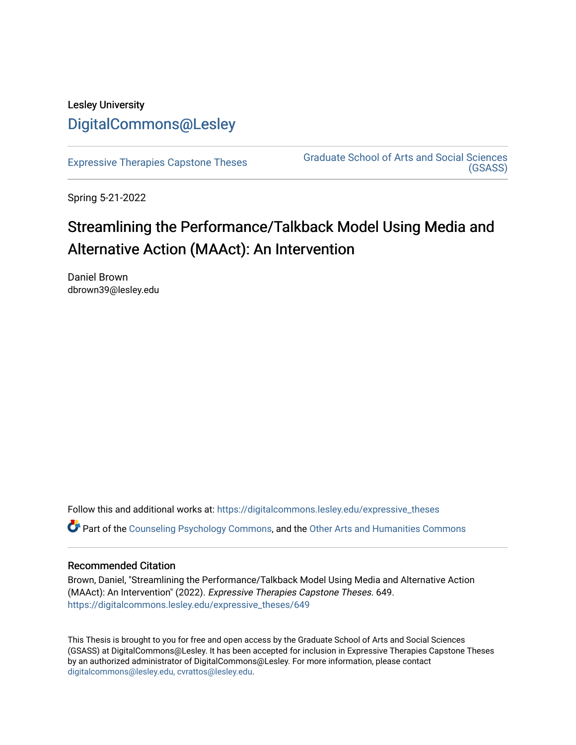## Lesley University [DigitalCommons@Lesley](https://digitalcommons.lesley.edu/)

[Expressive Therapies Capstone Theses](https://digitalcommons.lesley.edu/expressive_theses) Graduate School of Arts and Social Sciences [\(GSASS\)](https://digitalcommons.lesley.edu/gsass) 

Spring 5-21-2022

# Streamlining the Performance/Talkback Model Using Media and Alternative Action (MAAct): An Intervention

Daniel Brown dbrown39@lesley.edu

Follow this and additional works at: [https://digitalcommons.lesley.edu/expressive\\_theses](https://digitalcommons.lesley.edu/expressive_theses?utm_source=digitalcommons.lesley.edu%2Fexpressive_theses%2F649&utm_medium=PDF&utm_campaign=PDFCoverPages) Part of the [Counseling Psychology Commons](https://network.bepress.com/hgg/discipline/1044?utm_source=digitalcommons.lesley.edu%2Fexpressive_theses%2F649&utm_medium=PDF&utm_campaign=PDFCoverPages), and the [Other Arts and Humanities Commons](https://network.bepress.com/hgg/discipline/577?utm_source=digitalcommons.lesley.edu%2Fexpressive_theses%2F649&utm_medium=PDF&utm_campaign=PDFCoverPages) 

## Recommended Citation

Brown, Daniel, "Streamlining the Performance/Talkback Model Using Media and Alternative Action (MAAct): An Intervention" (2022). Expressive Therapies Capstone Theses. 649. [https://digitalcommons.lesley.edu/expressive\\_theses/649](https://digitalcommons.lesley.edu/expressive_theses/649?utm_source=digitalcommons.lesley.edu%2Fexpressive_theses%2F649&utm_medium=PDF&utm_campaign=PDFCoverPages)

This Thesis is brought to you for free and open access by the Graduate School of Arts and Social Sciences (GSASS) at DigitalCommons@Lesley. It has been accepted for inclusion in Expressive Therapies Capstone Theses by an authorized administrator of DigitalCommons@Lesley. For more information, please contact [digitalcommons@lesley.edu, cvrattos@lesley.edu](mailto:digitalcommons@lesley.edu,%20cvrattos@lesley.edu).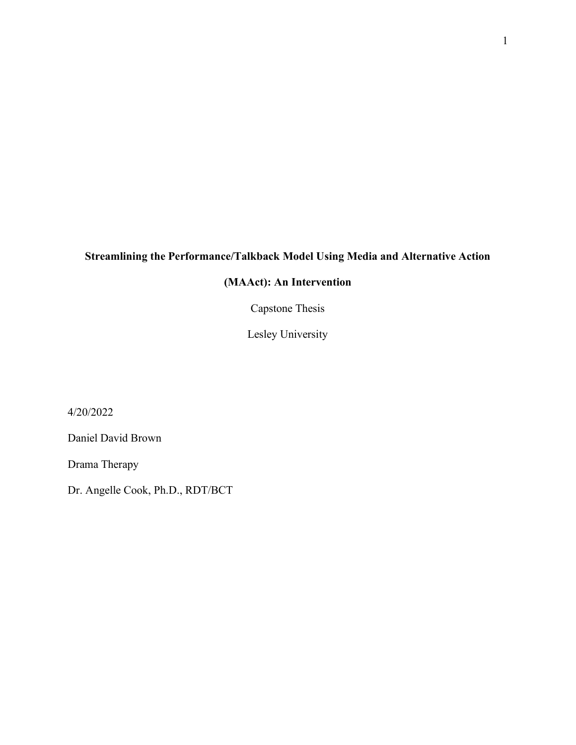## **Streamlining the Performance/Talkback Model Using Media and Alternative Action**

## **(MAAct): An Intervention**

Capstone Thesis

Lesley University

4/20/2022

Daniel David Brown

Drama Therapy

Dr. Angelle Cook, Ph.D., RDT/BCT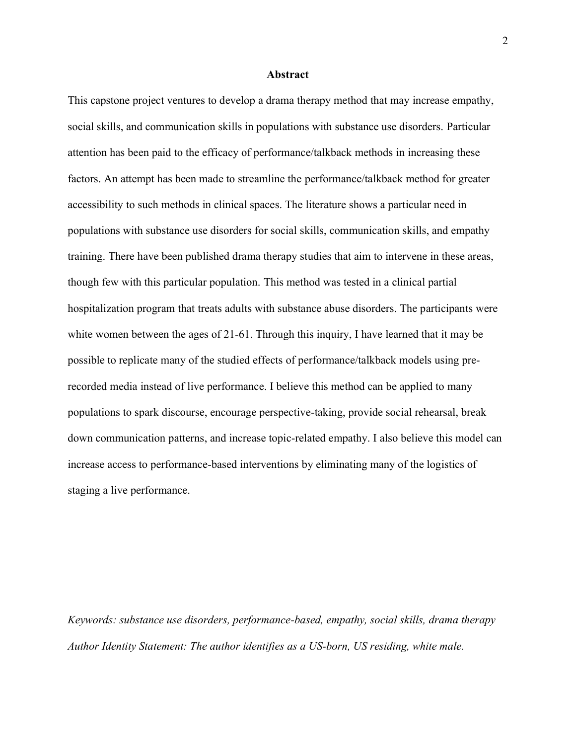#### **Abstract**

This capstone project ventures to develop a drama therapy method that may increase empathy, social skills, and communication skills in populations with substance use disorders. Particular attention has been paid to the efficacy of performance/talkback methods in increasing these factors. An attempt has been made to streamline the performance/talkback method for greater accessibility to such methods in clinical spaces. The literature shows a particular need in populations with substance use disorders for social skills, communication skills, and empathy training. There have been published drama therapy studies that aim to intervene in these areas, though few with this particular population. This method was tested in a clinical partial hospitalization program that treats adults with substance abuse disorders. The participants were white women between the ages of 21-61. Through this inquiry, I have learned that it may be possible to replicate many of the studied effects of performance/talkback models using prerecorded media instead of live performance. I believe this method can be applied to many populations to spark discourse, encourage perspective-taking, provide social rehearsal, break down communication patterns, and increase topic-related empathy. I also believe this model can increase access to performance-based interventions by eliminating many of the logistics of staging a live performance.

*Keywords: substance use disorders, performance-based, empathy, social skills, drama therapy Author Identity Statement: The author identifies as a US-born, US residing, white male.*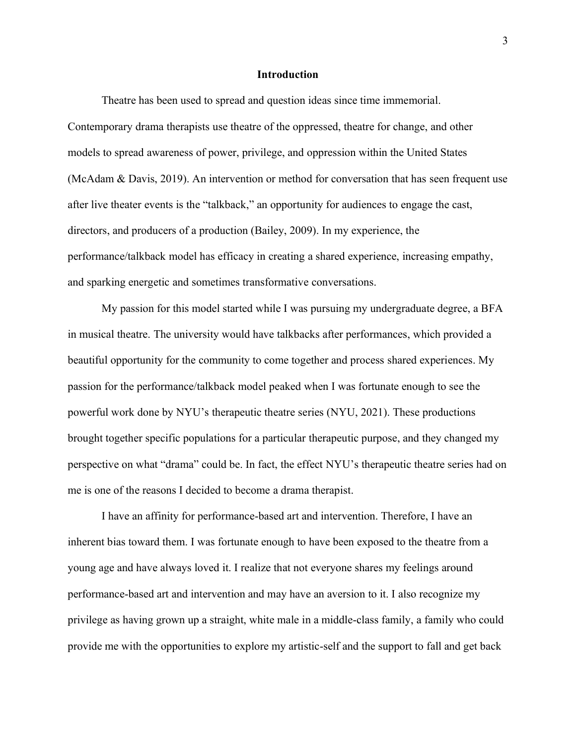## **Introduction**

Theatre has been used to spread and question ideas since time immemorial. Contemporary drama therapists use theatre of the oppressed, theatre for change, and other models to spread awareness of power, privilege, and oppression within the United States (McAdam & Davis, 2019). An intervention or method for conversation that has seen frequent use after live theater events is the "talkback," an opportunity for audiences to engage the cast, directors, and producers of a production (Bailey, 2009). In my experience, the performance/talkback model has efficacy in creating a shared experience, increasing empathy, and sparking energetic and sometimes transformative conversations.

My passion for this model started while I was pursuing my undergraduate degree, a BFA in musical theatre. The university would have talkbacks after performances, which provided a beautiful opportunity for the community to come together and process shared experiences. My passion for the performance/talkback model peaked when I was fortunate enough to see the powerful work done by NYU's therapeutic theatre series (NYU, 2021). These productions brought together specific populations for a particular therapeutic purpose, and they changed my perspective on what "drama" could be. In fact, the effect NYU's therapeutic theatre series had on me is one of the reasons I decided to become a drama therapist.

I have an affinity for performance-based art and intervention. Therefore, I have an inherent bias toward them. I was fortunate enough to have been exposed to the theatre from a young age and have always loved it. I realize that not everyone shares my feelings around performance-based art and intervention and may have an aversion to it. I also recognize my privilege as having grown up a straight, white male in a middle-class family, a family who could provide me with the opportunities to explore my artistic-self and the support to fall and get back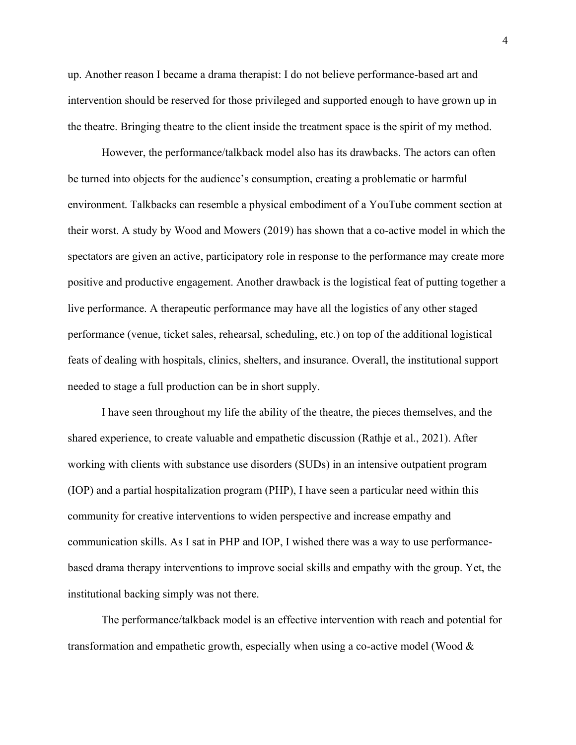up. Another reason I became a drama therapist: I do not believe performance-based art and intervention should be reserved for those privileged and supported enough to have grown up in the theatre. Bringing theatre to the client inside the treatment space is the spirit of my method.

However, the performance/talkback model also has its drawbacks. The actors can often be turned into objects for the audience's consumption, creating a problematic or harmful environment. Talkbacks can resemble a physical embodiment of a YouTube comment section at their worst. A study by Wood and Mowers (2019) has shown that a co-active model in which the spectators are given an active, participatory role in response to the performance may create more positive and productive engagement. Another drawback is the logistical feat of putting together a live performance. A therapeutic performance may have all the logistics of any other staged performance (venue, ticket sales, rehearsal, scheduling, etc.) on top of the additional logistical feats of dealing with hospitals, clinics, shelters, and insurance. Overall, the institutional support needed to stage a full production can be in short supply.

I have seen throughout my life the ability of the theatre, the pieces themselves, and the shared experience, to create valuable and empathetic discussion (Rathje et al., 2021). After working with clients with substance use disorders (SUDs) in an intensive outpatient program (IOP) and a partial hospitalization program (PHP), I have seen a particular need within this community for creative interventions to widen perspective and increase empathy and communication skills. As I sat in PHP and IOP, I wished there was a way to use performancebased drama therapy interventions to improve social skills and empathy with the group. Yet, the institutional backing simply was not there.

The performance/talkback model is an effective intervention with reach and potential for transformation and empathetic growth, especially when using a co-active model (Wood &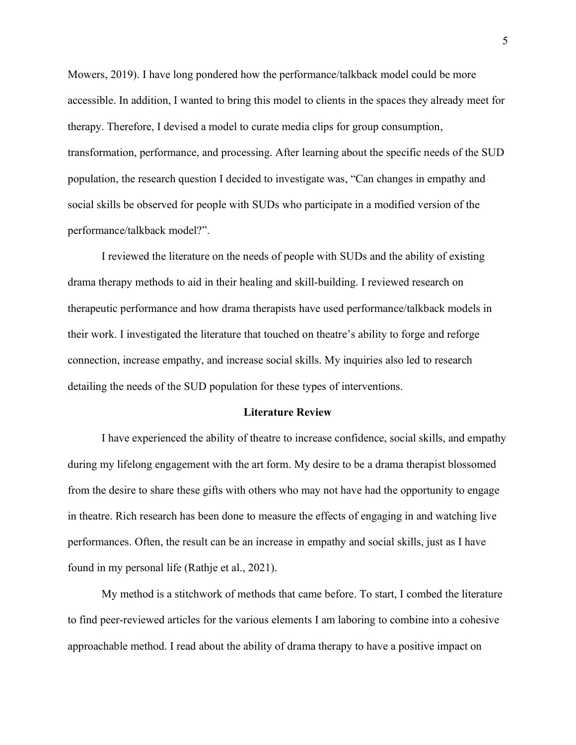Mowers, 2019). I have long pondered how the performance/talkback model could be more accessible. In addition, I wanted to bring this model to clients in the spaces they already meet for therapy. Therefore, I devised a model to curate media clips for group consumption, transformation, performance, and processing. After learning about the specific needs of the SUD population, the research question I decided to investigate was, "Can changes in empathy and social skills be observed for people with SUDs who participate in a modified version of the performance/talkback model?".

I reviewed the literature on the needs of people with SUDs and the ability of existing drama therapy methods to aid in their healing and skill-building. I reviewed research on therapeutic performance and how drama therapists have used performance/talkback models in their work. I investigated the literature that touched on theatre's ability to forge and reforge connection, increase empathy, and increase social skills. My inquiries also led to research detailing the needs of the SUD population for these types of interventions.

## **Literature Review**

I have experienced the ability of theatre to increase confidence, social skills, and empathy during my lifelong engagement with the art form. My desire to be a drama therapist blossomed from the desire to share these gifts with others who may not have had the opportunity to engage in theatre. Rich research has been done to measure the effects of engaging in and watching live performances. Often, the result can be an increase in empathy and social skills, just as I have found in my personal life (Rathje et al., 2021).

My method is a stitchwork of methods that came before. To start, I combed the literature to find peer-reviewed articles for the various elements I am laboring to combine into a cohesive approachable method. I read about the ability of drama therapy to have a positive impact on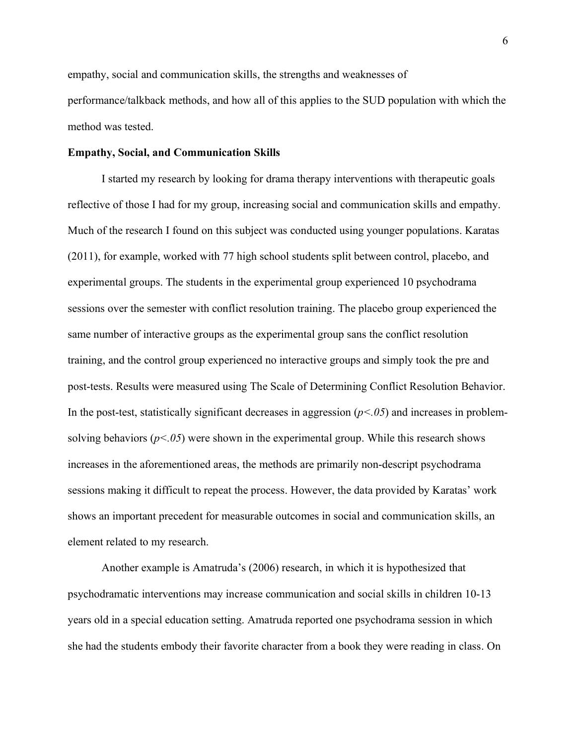empathy, social and communication skills, the strengths and weaknesses of performance/talkback methods, and how all of this applies to the SUD population with which the method was tested.

## **Empathy, Social, and Communication Skills**

I started my research by looking for drama therapy interventions with therapeutic goals reflective of those I had for my group, increasing social and communication skills and empathy. Much of the research I found on this subject was conducted using younger populations. Karatas (2011), for example, worked with 77 high school students split between control, placebo, and experimental groups. The students in the experimental group experienced 10 psychodrama sessions over the semester with conflict resolution training. The placebo group experienced the same number of interactive groups as the experimental group sans the conflict resolution training, and the control group experienced no interactive groups and simply took the pre and post-tests. Results were measured using The Scale of Determining Conflict Resolution Behavior. In the post-test, statistically significant decreases in aggression  $(p<0.05)$  and increases in problemsolving behaviors  $(p<0.05)$  were shown in the experimental group. While this research shows increases in the aforementioned areas, the methods are primarily non-descript psychodrama sessions making it difficult to repeat the process. However, the data provided by Karatas' work shows an important precedent for measurable outcomes in social and communication skills, an element related to my research.

Another example is Amatruda's (2006) research, in which it is hypothesized that psychodramatic interventions may increase communication and social skills in children 10-13 years old in a special education setting. Amatruda reported one psychodrama session in which she had the students embody their favorite character from a book they were reading in class. On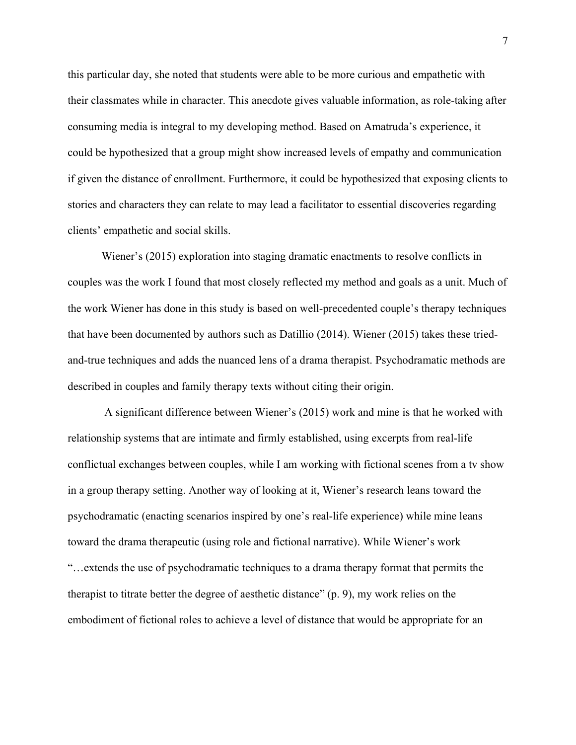this particular day, she noted that students were able to be more curious and empathetic with their classmates while in character. This anecdote gives valuable information, as role-taking after consuming media is integral to my developing method. Based on Amatruda's experience, it could be hypothesized that a group might show increased levels of empathy and communication if given the distance of enrollment. Furthermore, it could be hypothesized that exposing clients to stories and characters they can relate to may lead a facilitator to essential discoveries regarding clients' empathetic and social skills.

Wiener's (2015) exploration into staging dramatic enactments to resolve conflicts in couples was the work I found that most closely reflected my method and goals as a unit. Much of the work Wiener has done in this study is based on well-precedented couple's therapy techniques that have been documented by authors such as Datillio (2014). Wiener (2015) takes these triedand-true techniques and adds the nuanced lens of a drama therapist. Psychodramatic methods are described in couples and family therapy texts without citing their origin.

A significant difference between Wiener's (2015) work and mine is that he worked with relationship systems that are intimate and firmly established, using excerpts from real-life conflictual exchanges between couples, while I am working with fictional scenes from a tv show in a group therapy setting. Another way of looking at it, Wiener's research leans toward the psychodramatic (enacting scenarios inspired by one's real-life experience) while mine leans toward the drama therapeutic (using role and fictional narrative). While Wiener's work "…extends the use of psychodramatic techniques to a drama therapy format that permits the therapist to titrate better the degree of aesthetic distance" (p. 9), my work relies on the embodiment of fictional roles to achieve a level of distance that would be appropriate for an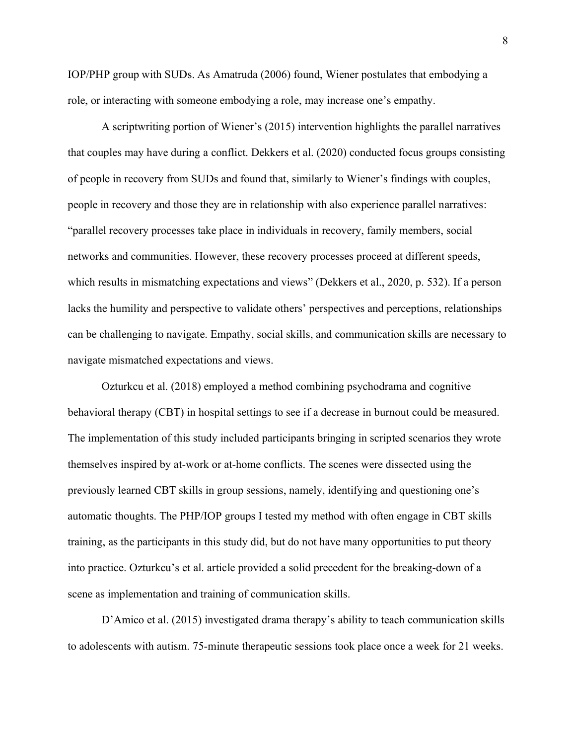IOP/PHP group with SUDs. As Amatruda (2006) found, Wiener postulates that embodying a role, or interacting with someone embodying a role, may increase one's empathy.

A scriptwriting portion of Wiener's (2015) intervention highlights the parallel narratives that couples may have during a conflict. Dekkers et al. (2020) conducted focus groups consisting of people in recovery from SUDs and found that, similarly to Wiener's findings with couples, people in recovery and those they are in relationship with also experience parallel narratives: "parallel recovery processes take place in individuals in recovery, family members, social networks and communities. However, these recovery processes proceed at different speeds, which results in mismatching expectations and views" (Dekkers et al., 2020, p. 532). If a person lacks the humility and perspective to validate others' perspectives and perceptions, relationships can be challenging to navigate. Empathy, social skills, and communication skills are necessary to navigate mismatched expectations and views.

Ozturkcu et al. (2018) employed a method combining psychodrama and cognitive behavioral therapy (CBT) in hospital settings to see if a decrease in burnout could be measured. The implementation of this study included participants bringing in scripted scenarios they wrote themselves inspired by at-work or at-home conflicts. The scenes were dissected using the previously learned CBT skills in group sessions, namely, identifying and questioning one's automatic thoughts. The PHP/IOP groups I tested my method with often engage in CBT skills training, as the participants in this study did, but do not have many opportunities to put theory into practice. Ozturkcu's et al. article provided a solid precedent for the breaking-down of a scene as implementation and training of communication skills.

D'Amico et al. (2015) investigated drama therapy's ability to teach communication skills to adolescents with autism. 75-minute therapeutic sessions took place once a week for 21 weeks.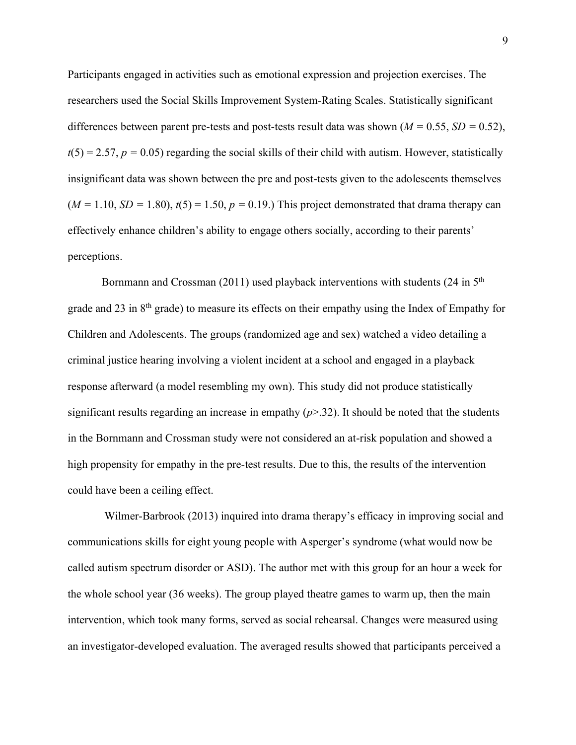Participants engaged in activities such as emotional expression and projection exercises. The researchers used the Social Skills Improvement System-Rating Scales. Statistically significant differences between parent pre-tests and post-tests result data was shown ( $M = 0.55$ ,  $SD = 0.52$ ),  $t(5) = 2.57$ ,  $p = 0.05$ ) regarding the social skills of their child with autism. However, statistically insignificant data was shown between the pre and post-tests given to the adolescents themselves  $(M = 1.10, SD = 1.80)$ ,  $t(5) = 1.50$ ,  $p = 0.19$ .) This project demonstrated that drama therapy can effectively enhance children's ability to engage others socially, according to their parents' perceptions.

Bornmann and Crossman (2011) used playback interventions with students (24 in  $5<sup>th</sup>$ grade and 23 in 8th grade) to measure its effects on their empathy using the Index of Empathy for Children and Adolescents. The groups (randomized age and sex) watched a video detailing a criminal justice hearing involving a violent incident at a school and engaged in a playback response afterward (a model resembling my own). This study did not produce statistically significant results regarding an increase in empathy (*p*>.32). It should be noted that the students in the Bornmann and Crossman study were not considered an at-risk population and showed a high propensity for empathy in the pre-test results. Due to this, the results of the intervention could have been a ceiling effect.

Wilmer-Barbrook (2013) inquired into drama therapy's efficacy in improving social and communications skills for eight young people with Asperger's syndrome (what would now be called autism spectrum disorder or ASD). The author met with this group for an hour a week for the whole school year (36 weeks). The group played theatre games to warm up, then the main intervention, which took many forms, served as social rehearsal. Changes were measured using an investigator-developed evaluation. The averaged results showed that participants perceived a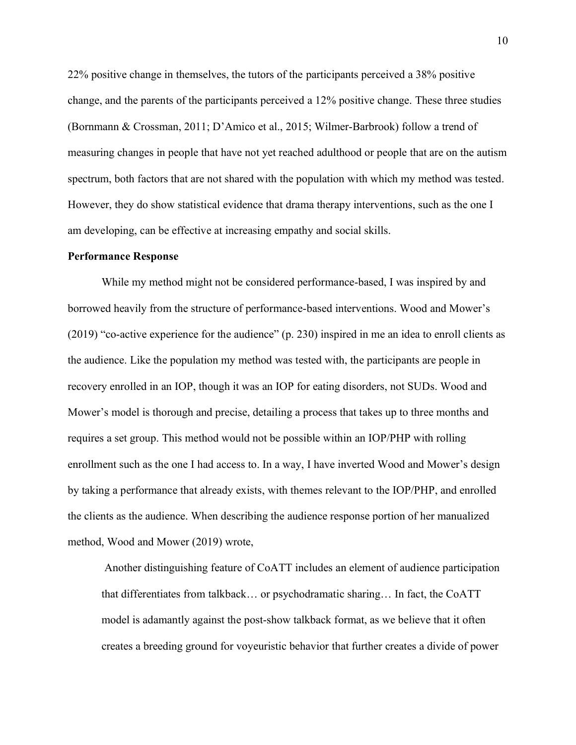22% positive change in themselves, the tutors of the participants perceived a 38% positive change, and the parents of the participants perceived a 12% positive change. These three studies (Bornmann & Crossman, 2011; D'Amico et al., 2015; Wilmer-Barbrook) follow a trend of measuring changes in people that have not yet reached adulthood or people that are on the autism spectrum, both factors that are not shared with the population with which my method was tested. However, they do show statistical evidence that drama therapy interventions, such as the one I am developing, can be effective at increasing empathy and social skills.

#### **Performance Response**

While my method might not be considered performance-based, I was inspired by and borrowed heavily from the structure of performance-based interventions. Wood and Mower's (2019) "co-active experience for the audience" (p. 230) inspired in me an idea to enroll clients as the audience. Like the population my method was tested with, the participants are people in recovery enrolled in an IOP, though it was an IOP for eating disorders, not SUDs. Wood and Mower's model is thorough and precise, detailing a process that takes up to three months and requires a set group. This method would not be possible within an IOP/PHP with rolling enrollment such as the one I had access to. In a way, I have inverted Wood and Mower's design by taking a performance that already exists, with themes relevant to the IOP/PHP, and enrolled the clients as the audience. When describing the audience response portion of her manualized method, Wood and Mower (2019) wrote,

Another distinguishing feature of CoATT includes an element of audience participation that differentiates from talkback… or psychodramatic sharing… In fact, the CoATT model is adamantly against the post-show talkback format, as we believe that it often creates a breeding ground for voyeuristic behavior that further creates a divide of power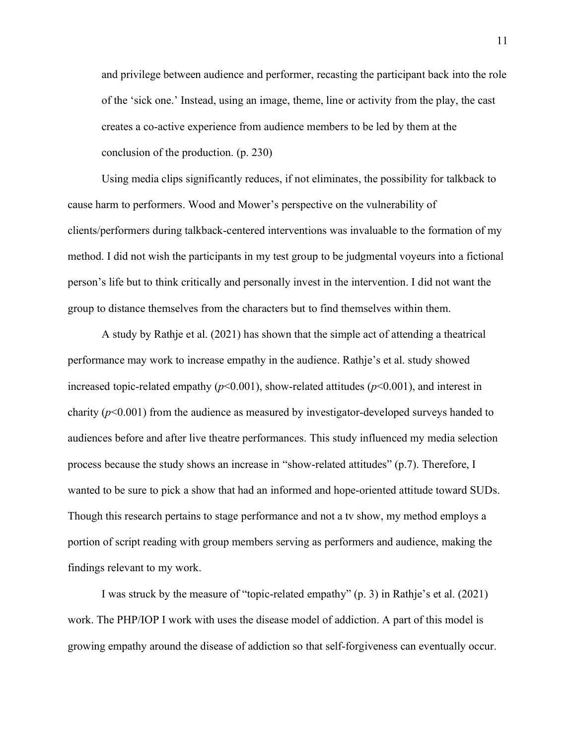and privilege between audience and performer, recasting the participant back into the role of the 'sick one.' Instead, using an image, theme, line or activity from the play, the cast creates a co-active experience from audience members to be led by them at the conclusion of the production. (p. 230)

Using media clips significantly reduces, if not eliminates, the possibility for talkback to cause harm to performers. Wood and Mower's perspective on the vulnerability of clients/performers during talkback-centered interventions was invaluable to the formation of my method. I did not wish the participants in my test group to be judgmental voyeurs into a fictional person's life but to think critically and personally invest in the intervention. I did not want the group to distance themselves from the characters but to find themselves within them.

A study by Rathje et al. (2021) has shown that the simple act of attending a theatrical performance may work to increase empathy in the audience. Rathje's et al. study showed increased topic-related empathy  $(p<0.001)$ , show-related attitudes  $(p<0.001)$ , and interest in charity (*p*<0.001) from the audience as measured by investigator-developed surveys handed to audiences before and after live theatre performances. This study influenced my media selection process because the study shows an increase in "show-related attitudes" (p.7). Therefore, I wanted to be sure to pick a show that had an informed and hope-oriented attitude toward SUDs. Though this research pertains to stage performance and not a tv show, my method employs a portion of script reading with group members serving as performers and audience, making the findings relevant to my work.

I was struck by the measure of "topic-related empathy" (p. 3) in Rathje's et al. (2021) work. The PHP/IOP I work with uses the disease model of addiction. A part of this model is growing empathy around the disease of addiction so that self-forgiveness can eventually occur.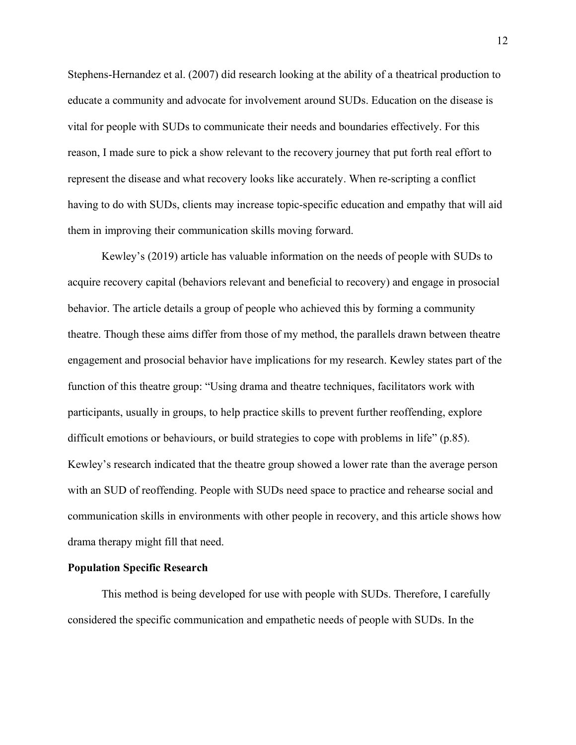Stephens-Hernandez et al. (2007) did research looking at the ability of a theatrical production to educate a community and advocate for involvement around SUDs. Education on the disease is vital for people with SUDs to communicate their needs and boundaries effectively. For this reason, I made sure to pick a show relevant to the recovery journey that put forth real effort to represent the disease and what recovery looks like accurately. When re-scripting a conflict having to do with SUDs, clients may increase topic-specific education and empathy that will aid them in improving their communication skills moving forward.

Kewley's (2019) article has valuable information on the needs of people with SUDs to acquire recovery capital (behaviors relevant and beneficial to recovery) and engage in prosocial behavior. The article details a group of people who achieved this by forming a community theatre. Though these aims differ from those of my method, the parallels drawn between theatre engagement and prosocial behavior have implications for my research. Kewley states part of the function of this theatre group: "Using drama and theatre techniques, facilitators work with participants, usually in groups, to help practice skills to prevent further reoffending, explore difficult emotions or behaviours, or build strategies to cope with problems in life" (p.85). Kewley's research indicated that the theatre group showed a lower rate than the average person with an SUD of reoffending. People with SUDs need space to practice and rehearse social and communication skills in environments with other people in recovery, and this article shows how drama therapy might fill that need.

## **Population Specific Research**

This method is being developed for use with people with SUDs. Therefore, I carefully considered the specific communication and empathetic needs of people with SUDs. In the

12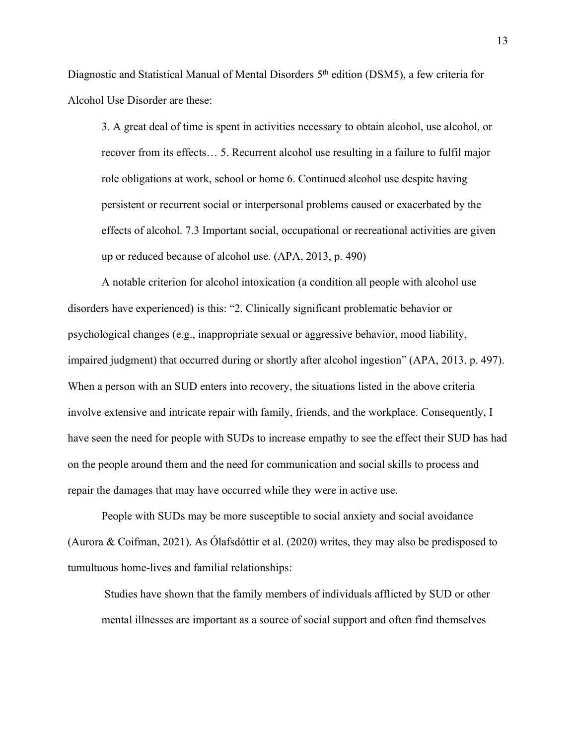Diagnostic and Statistical Manual of Mental Disorders 5<sup>th</sup> edition (DSM5), a few criteria for Alcohol Use Disorder are these:

3. A great deal of time is spent in activities necessary to obtain alcohol, use alcohol, or recover from its effects… 5. Recurrent alcohol use resulting in a failure to fulfil major role obligations at work, school or home 6. Continued alcohol use despite having persistent or recurrent social or interpersonal problems caused or exacerbated by the effects of alcohol. 7.3 Important social, occupational or recreational activities are given up or reduced because of alcohol use. (APA, 2013, p. 490)

A notable criterion for alcohol intoxication (a condition all people with alcohol use disorders have experienced) is this: "2. Clinically significant problematic behavior or psychological changes (e.g., inappropriate sexual or aggressive behavior, mood liability, impaired judgment) that occurred during or shortly after alcohol ingestion" (APA, 2013, p. 497). When a person with an SUD enters into recovery, the situations listed in the above criteria involve extensive and intricate repair with family, friends, and the workplace. Consequently, I have seen the need for people with SUDs to increase empathy to see the effect their SUD has had on the people around them and the need for communication and social skills to process and repair the damages that may have occurred while they were in active use.

People with SUDs may be more susceptible to social anxiety and social avoidance (Aurora & Coifman, 2021). As Ólafsdóttir et al. (2020) writes, they may also be predisposed to tumultuous home-lives and familial relationships:

Studies have shown that the family members of individuals afflicted by SUD or other mental illnesses are important as a source of social support and often find themselves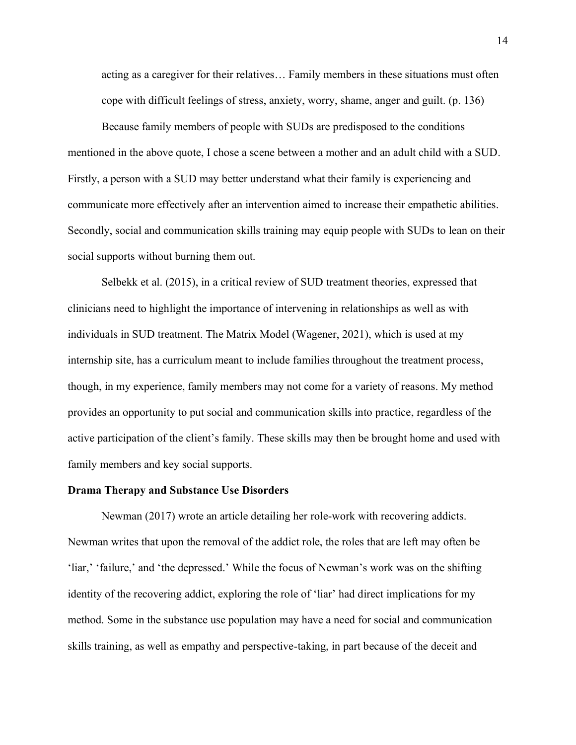acting as a caregiver for their relatives… Family members in these situations must often cope with difficult feelings of stress, anxiety, worry, shame, anger and guilt. (p. 136)

Because family members of people with SUDs are predisposed to the conditions mentioned in the above quote, I chose a scene between a mother and an adult child with a SUD. Firstly, a person with a SUD may better understand what their family is experiencing and communicate more effectively after an intervention aimed to increase their empathetic abilities. Secondly, social and communication skills training may equip people with SUDs to lean on their social supports without burning them out.

Selbekk et al. (2015), in a critical review of SUD treatment theories, expressed that clinicians need to highlight the importance of intervening in relationships as well as with individuals in SUD treatment. The Matrix Model (Wagener, 2021), which is used at my internship site, has a curriculum meant to include families throughout the treatment process, though, in my experience, family members may not come for a variety of reasons. My method provides an opportunity to put social and communication skills into practice, regardless of the active participation of the client's family. These skills may then be brought home and used with family members and key social supports.

## **Drama Therapy and Substance Use Disorders**

Newman (2017) wrote an article detailing her role-work with recovering addicts. Newman writes that upon the removal of the addict role, the roles that are left may often be 'liar,' 'failure,' and 'the depressed.' While the focus of Newman's work was on the shifting identity of the recovering addict, exploring the role of 'liar' had direct implications for my method. Some in the substance use population may have a need for social and communication skills training, as well as empathy and perspective-taking, in part because of the deceit and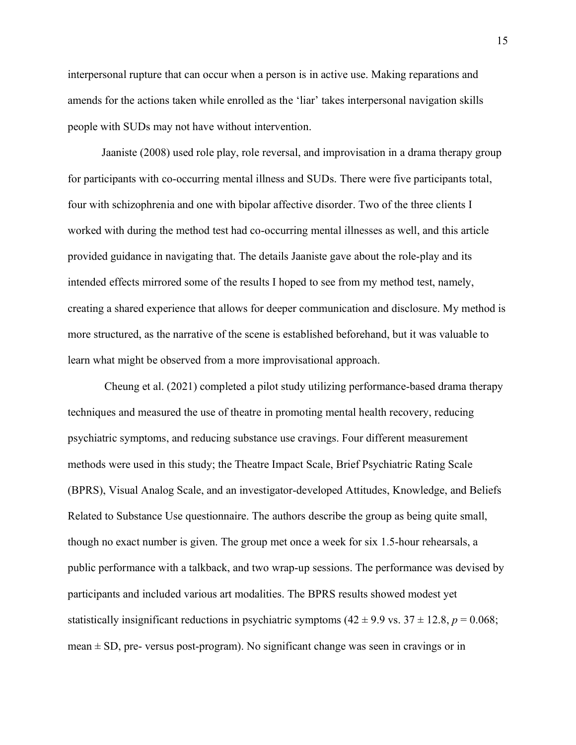interpersonal rupture that can occur when a person is in active use. Making reparations and amends for the actions taken while enrolled as the 'liar' takes interpersonal navigation skills people with SUDs may not have without intervention.

Jaaniste (2008) used role play, role reversal, and improvisation in a drama therapy group for participants with co-occurring mental illness and SUDs. There were five participants total, four with schizophrenia and one with bipolar affective disorder. Two of the three clients I worked with during the method test had co-occurring mental illnesses as well, and this article provided guidance in navigating that. The details Jaaniste gave about the role-play and its intended effects mirrored some of the results I hoped to see from my method test, namely, creating a shared experience that allows for deeper communication and disclosure. My method is more structured, as the narrative of the scene is established beforehand, but it was valuable to learn what might be observed from a more improvisational approach.

Cheung et al. (2021) completed a pilot study utilizing performance-based drama therapy techniques and measured the use of theatre in promoting mental health recovery, reducing psychiatric symptoms, and reducing substance use cravings. Four different measurement methods were used in this study; the Theatre Impact Scale, Brief Psychiatric Rating Scale (BPRS), Visual Analog Scale, and an investigator-developed Attitudes, Knowledge, and Beliefs Related to Substance Use questionnaire. The authors describe the group as being quite small, though no exact number is given. The group met once a week for six 1.5-hour rehearsals, a public performance with a talkback, and two wrap-up sessions. The performance was devised by participants and included various art modalities. The BPRS results showed modest yet statistically insignificant reductions in psychiatric symptoms  $(42 \pm 9.9 \text{ vs. } 37 \pm 12.8, p = 0.068)$ ; mean  $\pm$  SD, pre- versus post-program). No significant change was seen in cravings or in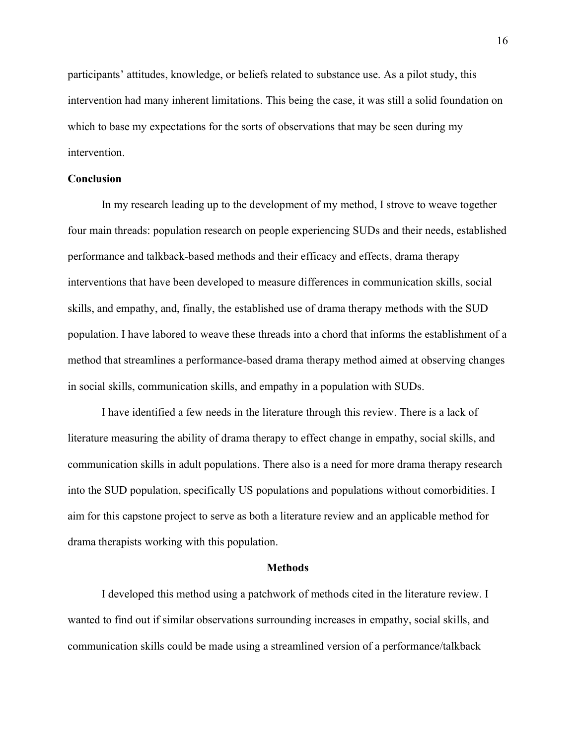participants' attitudes, knowledge, or beliefs related to substance use. As a pilot study, this intervention had many inherent limitations. This being the case, it was still a solid foundation on which to base my expectations for the sorts of observations that may be seen during my intervention.

## **Conclusion**

In my research leading up to the development of my method, I strove to weave together four main threads: population research on people experiencing SUDs and their needs, established performance and talkback-based methods and their efficacy and effects, drama therapy interventions that have been developed to measure differences in communication skills, social skills, and empathy, and, finally, the established use of drama therapy methods with the SUD population. I have labored to weave these threads into a chord that informs the establishment of a method that streamlines a performance-based drama therapy method aimed at observing changes in social skills, communication skills, and empathy in a population with SUDs.

I have identified a few needs in the literature through this review. There is a lack of literature measuring the ability of drama therapy to effect change in empathy, social skills, and communication skills in adult populations. There also is a need for more drama therapy research into the SUD population, specifically US populations and populations without comorbidities. I aim for this capstone project to serve as both a literature review and an applicable method for drama therapists working with this population.

### **Methods**

I developed this method using a patchwork of methods cited in the literature review. I wanted to find out if similar observations surrounding increases in empathy, social skills, and communication skills could be made using a streamlined version of a performance/talkback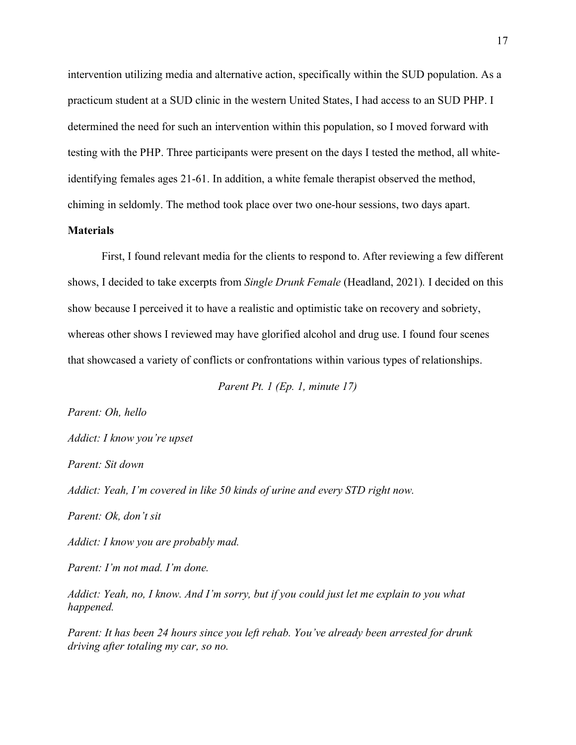intervention utilizing media and alternative action, specifically within the SUD population. As a practicum student at a SUD clinic in the western United States, I had access to an SUD PHP. I determined the need for such an intervention within this population, so I moved forward with testing with the PHP. Three participants were present on the days I tested the method, all whiteidentifying females ages 21-61. In addition, a white female therapist observed the method, chiming in seldomly. The method took place over two one-hour sessions, two days apart.

## **Materials**

First, I found relevant media for the clients to respond to. After reviewing a few different shows, I decided to take excerpts from *Single Drunk Female* (Headland, 2021)*.* I decided on this show because I perceived it to have a realistic and optimistic take on recovery and sobriety, whereas other shows I reviewed may have glorified alcohol and drug use. I found four scenes that showcased a variety of conflicts or confrontations within various types of relationships.

*Parent Pt. 1 (Ep. 1, minute 17)*

*Parent: Oh, hello* 

*Addict: I know you're upset*

*Parent: Sit down*

*Addict: Yeah, I'm covered in like 50 kinds of urine and every STD right now.* 

*Parent: Ok, don't sit*

*Addict: I know you are probably mad.*

*Parent: I'm not mad. I'm done.*

*Addict: Yeah, no, I know. And I'm sorry, but if you could just let me explain to you what happened.*

*Parent: It has been 24 hours since you left rehab. You've already been arrested for drunk driving after totaling my car, so no.*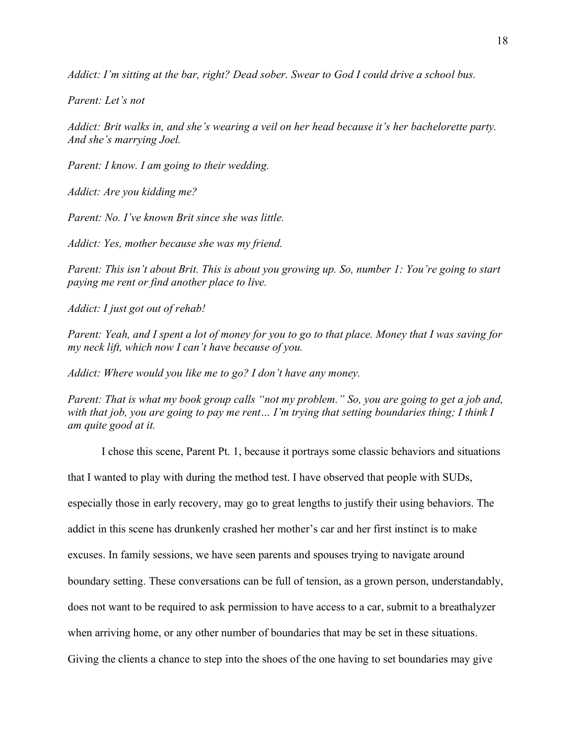*Addict: I'm sitting at the bar, right? Dead sober. Swear to God I could drive a school bus.*

*Parent: Let's not*

*Addict: Brit walks in, and she's wearing a veil on her head because it's her bachelorette party. And she's marrying Joel.*

*Parent: I know. I am going to their wedding.*

*Addict: Are you kidding me?*

*Parent: No. I've known Brit since she was little.*

*Addict: Yes, mother because she was my friend.*

*Parent: This isn't about Brit. This is about you growing up. So, number 1: You're going to start paying me rent or find another place to live.*

*Addict: I just got out of rehab!*

*Parent: Yeah, and I spent a lot of money for you to go to that place. Money that I was saving for my neck lift, which now I can't have because of you.*

*Addict: Where would you like me to go? I don't have any money.*

*Parent: That is what my book group calls "not my problem." So, you are going to get a job and, with that job, you are going to pay me rent… I'm trying that setting boundaries thing; I think I am quite good at it.*

I chose this scene, Parent Pt. 1, because it portrays some classic behaviors and situations

that I wanted to play with during the method test. I have observed that people with SUDs,

especially those in early recovery, may go to great lengths to justify their using behaviors. The

addict in this scene has drunkenly crashed her mother's car and her first instinct is to make

excuses. In family sessions, we have seen parents and spouses trying to navigate around

boundary setting. These conversations can be full of tension, as a grown person, understandably,

does not want to be required to ask permission to have access to a car, submit to a breathalyzer

when arriving home, or any other number of boundaries that may be set in these situations.

Giving the clients a chance to step into the shoes of the one having to set boundaries may give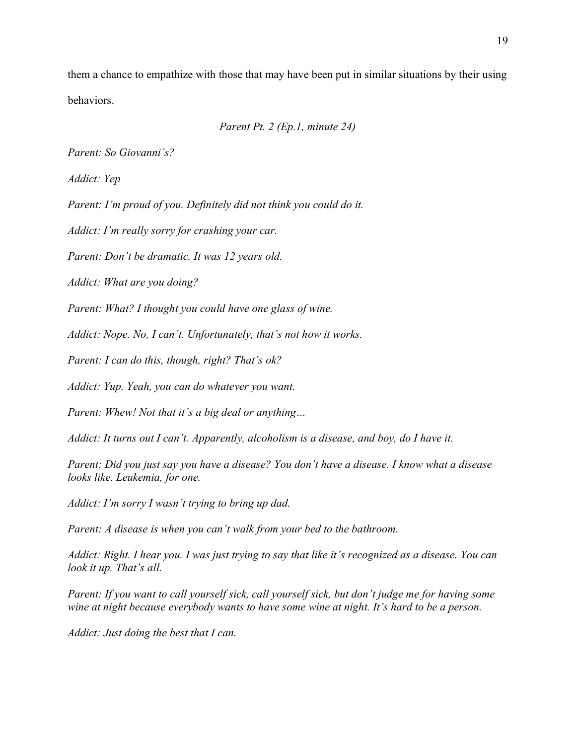them a chance to empathize with those that may have been put in similar situations by their using behaviors.

```
Parent Pt. 2 (Ep.1, minute 24)
```
*Parent: So Giovanni's?*

*Addict: Yep*

*Parent: I'm proud of you. Definitely did not think you could do it.* 

*Addict: I'm really sorry for crashing your car.*

*Parent: Don't be dramatic. It was 12 years old.*

*Addict: What are you doing?*

*Parent: What? I thought you could have one glass of wine.*

*Addict: Nope. No, I can't. Unfortunately, that's not how it works.*

*Parent: I can do this, though, right? That's ok?*

*Addict: Yup. Yeah, you can do whatever you want.*

*Parent: Whew! Not that it's a big deal or anything…*

*Addict: It turns out I can't. Apparently, alcoholism is a disease, and boy, do I have it.*

*Parent: Did you just say you have a disease? You don't have a disease. I know what a disease looks like. Leukemia, for one.*

*Addict: I'm sorry I wasn't trying to bring up dad.*

*Parent: A disease is when you can't walk from your bed to the bathroom.* 

*Addict: Right. I hear you. I was just trying to say that like it's recognized as a disease. You can look it up. That's all.*

*Parent: If you want to call yourself sick, call yourself sick, but don't judge me for having some wine at night because everybody wants to have some wine at night. It's hard to be a person.*

*Addict: Just doing the best that I can.*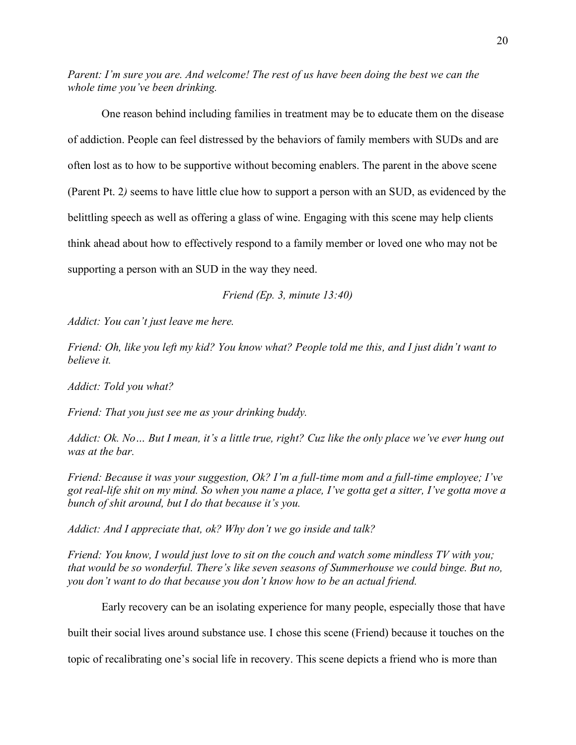*Parent: I'm sure you are. And welcome! The rest of us have been doing the best we can the whole time you've been drinking.*

One reason behind including families in treatment may be to educate them on the disease of addiction. People can feel distressed by the behaviors of family members with SUDs and are often lost as to how to be supportive without becoming enablers. The parent in the above scene (Parent Pt. 2*)* seems to have little clue how to support a person with an SUD, as evidenced by the belittling speech as well as offering a glass of wine. Engaging with this scene may help clients think ahead about how to effectively respond to a family member or loved one who may not be supporting a person with an SUD in the way they need.

*Friend (Ep. 3, minute 13:40)*

*Addict: You can't just leave me here.*

*Friend: Oh, like you left my kid? You know what? People told me this, and I just didn't want to believe it.*

*Addict: Told you what?*

*Friend: That you just see me as your drinking buddy.*

*Addict: Ok. No… But I mean, it's a little true, right? Cuz like the only place we've ever hung out was at the bar.*

*Friend: Because it was your suggestion, Ok? I'm a full-time mom and a full-time employee; I've got real-life shit on my mind. So when you name a place, I've gotta get a sitter, I've gotta move a bunch of shit around, but I do that because it's you.*

*Addict: And I appreciate that, ok? Why don't we go inside and talk?*

*Friend: You know, I would just love to sit on the couch and watch some mindless TV with you; that would be so wonderful. There's like seven seasons of Summerhouse we could binge. But no, you don't want to do that because you don't know how to be an actual friend.*

Early recovery can be an isolating experience for many people, especially those that have

built their social lives around substance use. I chose this scene (Friend) because it touches on the

topic of recalibrating one's social life in recovery. This scene depicts a friend who is more than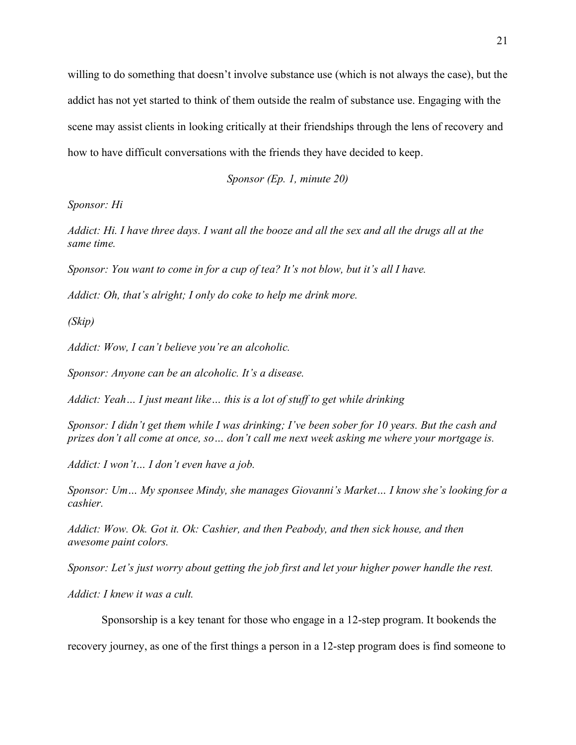willing to do something that doesn't involve substance use (which is not always the case), but the addict has not yet started to think of them outside the realm of substance use. Engaging with the scene may assist clients in looking critically at their friendships through the lens of recovery and how to have difficult conversations with the friends they have decided to keep.

*Sponsor (Ep. 1, minute 20)*

*Sponsor: Hi*

*Addict: Hi. I have three days. I want all the booze and all the sex and all the drugs all at the same time.* 

*Sponsor: You want to come in for a cup of tea? It's not blow, but it's all I have.*

*Addict: Oh, that's alright; I only do coke to help me drink more.*

*(Skip)*

*Addict: Wow, I can't believe you're an alcoholic.*

*Sponsor: Anyone can be an alcoholic. It's a disease.*

*Addict: Yeah… I just meant like… this is a lot of stuff to get while drinking*

*Sponsor: I didn't get them while I was drinking; I've been sober for 10 years. But the cash and prizes don't all come at once, so… don't call me next week asking me where your mortgage is.*

*Addict: I won't… I don't even have a job.*

*Sponsor: Um… My sponsee Mindy, she manages Giovanni's Market… I know she's looking for a cashier.*

*Addict: Wow. Ok. Got it. Ok: Cashier, and then Peabody, and then sick house, and then awesome paint colors.*

*Sponsor: Let's just worry about getting the job first and let your higher power handle the rest.*

*Addict: I knew it was a cult.*

Sponsorship is a key tenant for those who engage in a 12-step program. It bookends the

recovery journey, as one of the first things a person in a 12-step program does is find someone to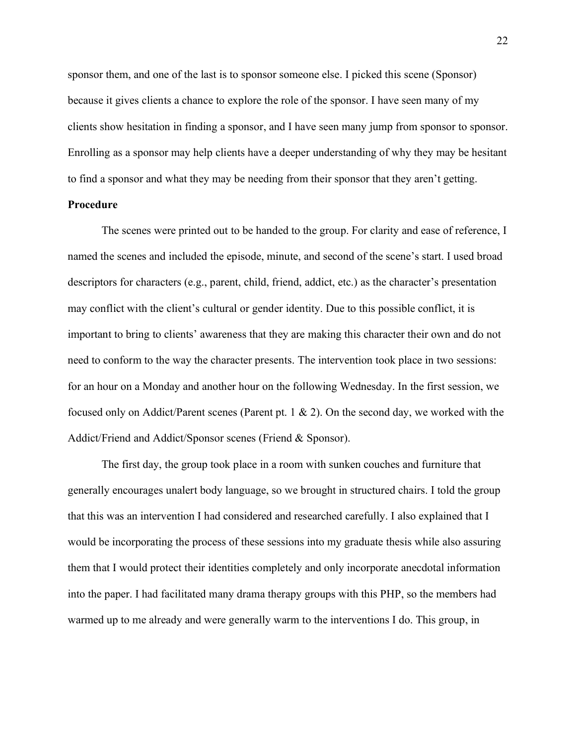sponsor them, and one of the last is to sponsor someone else. I picked this scene (Sponsor) because it gives clients a chance to explore the role of the sponsor. I have seen many of my clients show hesitation in finding a sponsor, and I have seen many jump from sponsor to sponsor. Enrolling as a sponsor may help clients have a deeper understanding of why they may be hesitant to find a sponsor and what they may be needing from their sponsor that they aren't getting.

## **Procedure**

The scenes were printed out to be handed to the group. For clarity and ease of reference, I named the scenes and included the episode, minute, and second of the scene's start. I used broad descriptors for characters (e.g., parent, child, friend, addict, etc.) as the character's presentation may conflict with the client's cultural or gender identity. Due to this possible conflict, it is important to bring to clients' awareness that they are making this character their own and do not need to conform to the way the character presents. The intervention took place in two sessions: for an hour on a Monday and another hour on the following Wednesday. In the first session, we focused only on Addict/Parent scenes (Parent pt. 1 & 2). On the second day, we worked with the Addict/Friend and Addict/Sponsor scenes (Friend & Sponsor).

The first day, the group took place in a room with sunken couches and furniture that generally encourages unalert body language, so we brought in structured chairs. I told the group that this was an intervention I had considered and researched carefully. I also explained that I would be incorporating the process of these sessions into my graduate thesis while also assuring them that I would protect their identities completely and only incorporate anecdotal information into the paper. I had facilitated many drama therapy groups with this PHP, so the members had warmed up to me already and were generally warm to the interventions I do. This group, in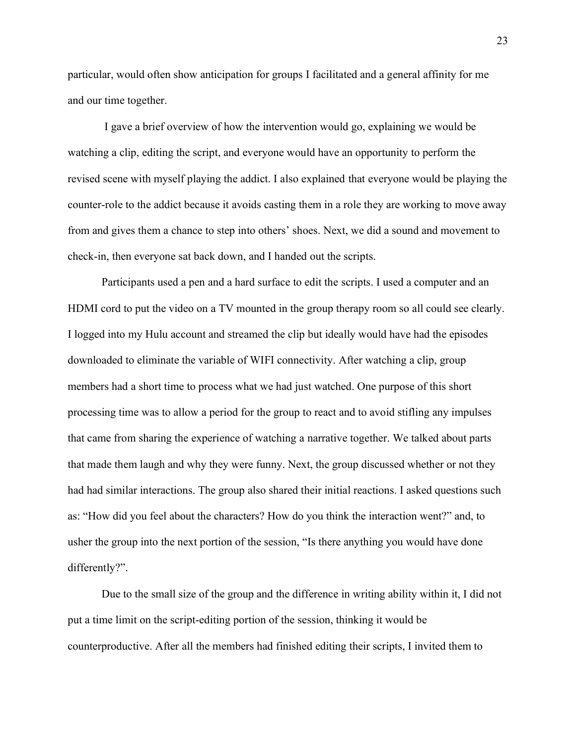particular, would often show anticipation for groups I facilitated and a general affinity for me and our time together.

I gave a brief overview of how the intervention would go, explaining we would be watching a clip, editing the script, and everyone would have an opportunity to perform the revised scene with myself playing the addict. I also explained that everyone would be playing the counter-role to the addict because it avoids casting them in a role they are working to move away from and gives them a chance to step into others' shoes. Next, we did a sound and movement to check-in, then everyone sat back down, and I handed out the scripts.

Participants used a pen and a hard surface to edit the scripts. I used a computer and an HDMI cord to put the video on a TV mounted in the group therapy room so all could see clearly. I logged into my Hulu account and streamed the clip but ideally would have had the episodes downloaded to eliminate the variable of WIFI connectivity. After watching a clip, group members had a short time to process what we had just watched. One purpose of this short processing time was to allow a period for the group to react and to avoid stifling any impulses that came from sharing the experience of watching a narrative together. We talked about parts that made them laugh and why they were funny. Next, the group discussed whether or not they had had similar interactions. The group also shared their initial reactions. I asked questions such as: "How did you feel about the characters? How do you think the interaction went?" and, to usher the group into the next portion of the session, "Is there anything you would have done differently?".

Due to the small size of the group and the difference in writing ability within it, I did not put a time limit on the script-editing portion of the session, thinking it would be counterproductive. After all the members had finished editing their scripts, I invited them to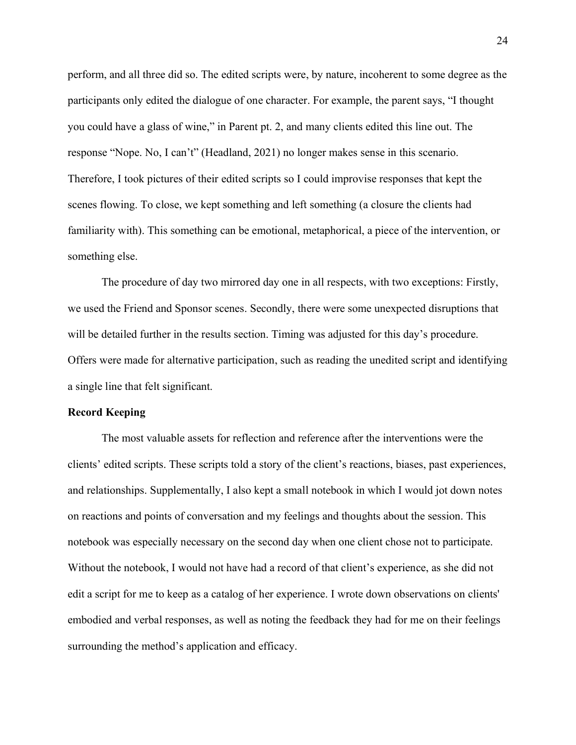perform, and all three did so. The edited scripts were, by nature, incoherent to some degree as the participants only edited the dialogue of one character. For example, the parent says, "I thought you could have a glass of wine," in Parent pt. 2, and many clients edited this line out. The response "Nope. No, I can't" (Headland, 2021) no longer makes sense in this scenario. Therefore, I took pictures of their edited scripts so I could improvise responses that kept the scenes flowing. To close, we kept something and left something (a closure the clients had familiarity with). This something can be emotional, metaphorical, a piece of the intervention, or something else.

The procedure of day two mirrored day one in all respects, with two exceptions: Firstly, we used the Friend and Sponsor scenes. Secondly, there were some unexpected disruptions that will be detailed further in the results section. Timing was adjusted for this day's procedure. Offers were made for alternative participation, such as reading the unedited script and identifying a single line that felt significant.

#### **Record Keeping**

The most valuable assets for reflection and reference after the interventions were the clients' edited scripts. These scripts told a story of the client's reactions, biases, past experiences, and relationships. Supplementally, I also kept a small notebook in which I would jot down notes on reactions and points of conversation and my feelings and thoughts about the session. This notebook was especially necessary on the second day when one client chose not to participate. Without the notebook, I would not have had a record of that client's experience, as she did not edit a script for me to keep as a catalog of her experience. I wrote down observations on clients' embodied and verbal responses, as well as noting the feedback they had for me on their feelings surrounding the method's application and efficacy.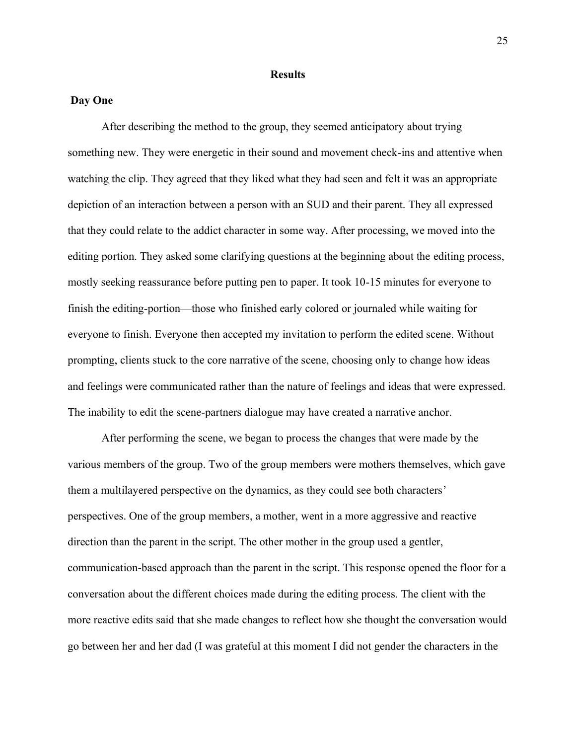## **Results**

## **Day One**

After describing the method to the group, they seemed anticipatory about trying something new. They were energetic in their sound and movement check-ins and attentive when watching the clip. They agreed that they liked what they had seen and felt it was an appropriate depiction of an interaction between a person with an SUD and their parent. They all expressed that they could relate to the addict character in some way. After processing, we moved into the editing portion. They asked some clarifying questions at the beginning about the editing process, mostly seeking reassurance before putting pen to paper. It took 10-15 minutes for everyone to finish the editing-portion—those who finished early colored or journaled while waiting for everyone to finish. Everyone then accepted my invitation to perform the edited scene. Without prompting, clients stuck to the core narrative of the scene, choosing only to change how ideas and feelings were communicated rather than the nature of feelings and ideas that were expressed. The inability to edit the scene-partners dialogue may have created a narrative anchor.

After performing the scene, we began to process the changes that were made by the various members of the group. Two of the group members were mothers themselves, which gave them a multilayered perspective on the dynamics, as they could see both characters' perspectives. One of the group members, a mother, went in a more aggressive and reactive direction than the parent in the script. The other mother in the group used a gentler, communication-based approach than the parent in the script. This response opened the floor for a conversation about the different choices made during the editing process. The client with the more reactive edits said that she made changes to reflect how she thought the conversation would go between her and her dad (I was grateful at this moment I did not gender the characters in the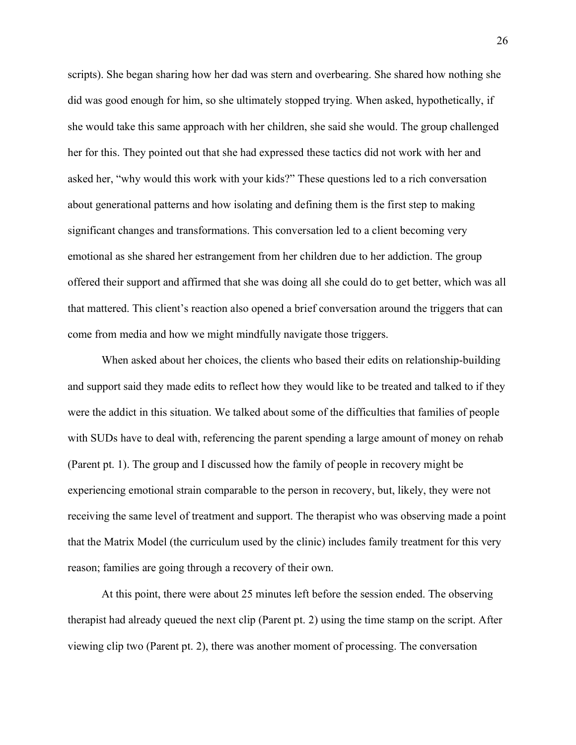scripts). She began sharing how her dad was stern and overbearing. She shared how nothing she did was good enough for him, so she ultimately stopped trying. When asked, hypothetically, if she would take this same approach with her children, she said she would. The group challenged her for this. They pointed out that she had expressed these tactics did not work with her and asked her, "why would this work with your kids?" These questions led to a rich conversation about generational patterns and how isolating and defining them is the first step to making significant changes and transformations. This conversation led to a client becoming very emotional as she shared her estrangement from her children due to her addiction. The group offered their support and affirmed that she was doing all she could do to get better, which was all that mattered. This client's reaction also opened a brief conversation around the triggers that can come from media and how we might mindfully navigate those triggers.

When asked about her choices, the clients who based their edits on relationship-building and support said they made edits to reflect how they would like to be treated and talked to if they were the addict in this situation. We talked about some of the difficulties that families of people with SUDs have to deal with, referencing the parent spending a large amount of money on rehab (Parent pt. 1). The group and I discussed how the family of people in recovery might be experiencing emotional strain comparable to the person in recovery, but, likely, they were not receiving the same level of treatment and support. The therapist who was observing made a point that the Matrix Model (the curriculum used by the clinic) includes family treatment for this very reason; families are going through a recovery of their own.

At this point, there were about 25 minutes left before the session ended. The observing therapist had already queued the next clip (Parent pt. 2) using the time stamp on the script. After viewing clip two (Parent pt. 2), there was another moment of processing. The conversation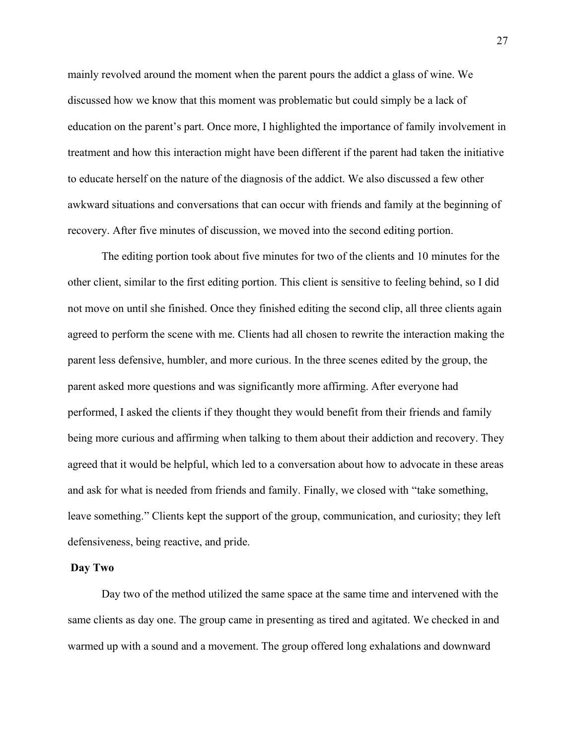mainly revolved around the moment when the parent pours the addict a glass of wine. We discussed how we know that this moment was problematic but could simply be a lack of education on the parent's part. Once more, I highlighted the importance of family involvement in treatment and how this interaction might have been different if the parent had taken the initiative to educate herself on the nature of the diagnosis of the addict. We also discussed a few other awkward situations and conversations that can occur with friends and family at the beginning of recovery. After five minutes of discussion, we moved into the second editing portion.

The editing portion took about five minutes for two of the clients and 10 minutes for the other client, similar to the first editing portion. This client is sensitive to feeling behind, so I did not move on until she finished. Once they finished editing the second clip, all three clients again agreed to perform the scene with me. Clients had all chosen to rewrite the interaction making the parent less defensive, humbler, and more curious. In the three scenes edited by the group, the parent asked more questions and was significantly more affirming. After everyone had performed, I asked the clients if they thought they would benefit from their friends and family being more curious and affirming when talking to them about their addiction and recovery. They agreed that it would be helpful, which led to a conversation about how to advocate in these areas and ask for what is needed from friends and family. Finally, we closed with "take something, leave something." Clients kept the support of the group, communication, and curiosity; they left defensiveness, being reactive, and pride.

## **Day Two**

Day two of the method utilized the same space at the same time and intervened with the same clients as day one. The group came in presenting as tired and agitated. We checked in and warmed up with a sound and a movement. The group offered long exhalations and downward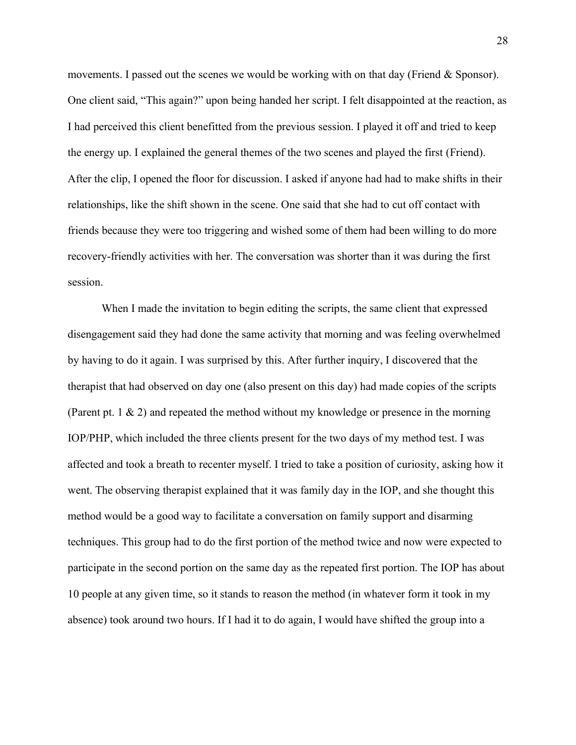movements. I passed out the scenes we would be working with on that day (Friend  $\&$  Sponsor). One client said, "This again?" upon being handed her script. I felt disappointed at the reaction, as I had perceived this client benefitted from the previous session. I played it off and tried to keep the energy up. I explained the general themes of the two scenes and played the first (Friend). After the clip, I opened the floor for discussion. I asked if anyone had had to make shifts in their relationships, like the shift shown in the scene. One said that she had to cut off contact with friends because they were too triggering and wished some of them had been willing to do more recovery-friendly activities with her. The conversation was shorter than it was during the first session.

When I made the invitation to begin editing the scripts, the same client that expressed disengagement said they had done the same activity that morning and was feeling overwhelmed by having to do it again. I was surprised by this. After further inquiry, I discovered that the therapist that had observed on day one (also present on this day) had made copies of the scripts (Parent pt. 1 & 2) and repeated the method without my knowledge or presence in the morning IOP/PHP, which included the three clients present for the two days of my method test. I was affected and took a breath to recenter myself. I tried to take a position of curiosity, asking how it went. The observing therapist explained that it was family day in the IOP, and she thought this method would be a good way to facilitate a conversation on family support and disarming techniques. This group had to do the first portion of the method twice and now were expected to participate in the second portion on the same day as the repeated first portion. The IOP has about 10 people at any given time, so it stands to reason the method (in whatever form it took in my absence) took around two hours. If I had it to do again, I would have shifted the group into a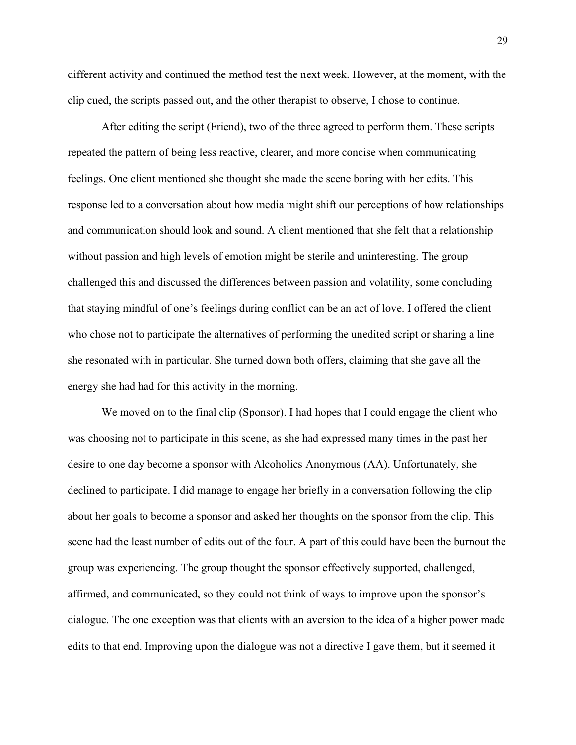different activity and continued the method test the next week. However, at the moment, with the clip cued, the scripts passed out, and the other therapist to observe, I chose to continue.

After editing the script (Friend), two of the three agreed to perform them. These scripts repeated the pattern of being less reactive, clearer, and more concise when communicating feelings. One client mentioned she thought she made the scene boring with her edits. This response led to a conversation about how media might shift our perceptions of how relationships and communication should look and sound. A client mentioned that she felt that a relationship without passion and high levels of emotion might be sterile and uninteresting. The group challenged this and discussed the differences between passion and volatility, some concluding that staying mindful of one's feelings during conflict can be an act of love. I offered the client who chose not to participate the alternatives of performing the unedited script or sharing a line she resonated with in particular. She turned down both offers, claiming that she gave all the energy she had had for this activity in the morning.

We moved on to the final clip (Sponsor). I had hopes that I could engage the client who was choosing not to participate in this scene, as she had expressed many times in the past her desire to one day become a sponsor with Alcoholics Anonymous (AA). Unfortunately, she declined to participate. I did manage to engage her briefly in a conversation following the clip about her goals to become a sponsor and asked her thoughts on the sponsor from the clip. This scene had the least number of edits out of the four. A part of this could have been the burnout the group was experiencing. The group thought the sponsor effectively supported, challenged, affirmed, and communicated, so they could not think of ways to improve upon the sponsor's dialogue. The one exception was that clients with an aversion to the idea of a higher power made edits to that end. Improving upon the dialogue was not a directive I gave them, but it seemed it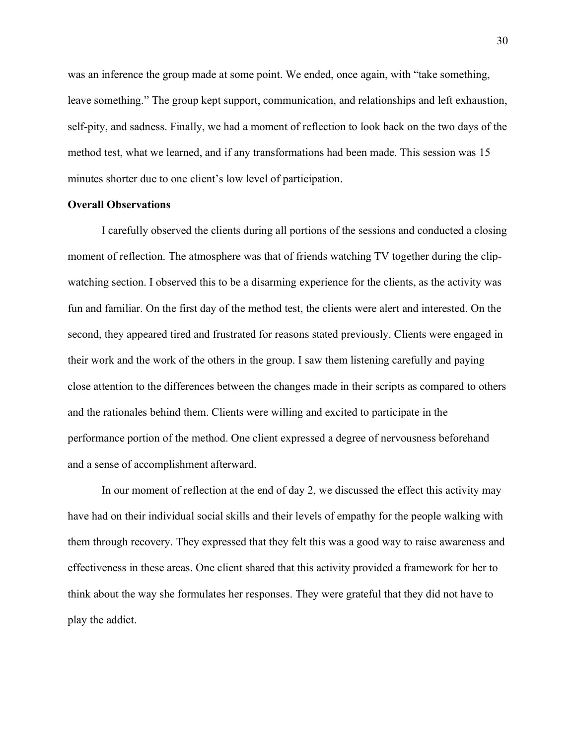was an inference the group made at some point. We ended, once again, with "take something, leave something." The group kept support, communication, and relationships and left exhaustion, self-pity, and sadness. Finally, we had a moment of reflection to look back on the two days of the method test, what we learned, and if any transformations had been made. This session was 15 minutes shorter due to one client's low level of participation.

## **Overall Observations**

I carefully observed the clients during all portions of the sessions and conducted a closing moment of reflection. The atmosphere was that of friends watching TV together during the clipwatching section. I observed this to be a disarming experience for the clients, as the activity was fun and familiar. On the first day of the method test, the clients were alert and interested. On the second, they appeared tired and frustrated for reasons stated previously. Clients were engaged in their work and the work of the others in the group. I saw them listening carefully and paying close attention to the differences between the changes made in their scripts as compared to others and the rationales behind them. Clients were willing and excited to participate in the performance portion of the method. One client expressed a degree of nervousness beforehand and a sense of accomplishment afterward.

In our moment of reflection at the end of day 2, we discussed the effect this activity may have had on their individual social skills and their levels of empathy for the people walking with them through recovery. They expressed that they felt this was a good way to raise awareness and effectiveness in these areas. One client shared that this activity provided a framework for her to think about the way she formulates her responses. They were grateful that they did not have to play the addict.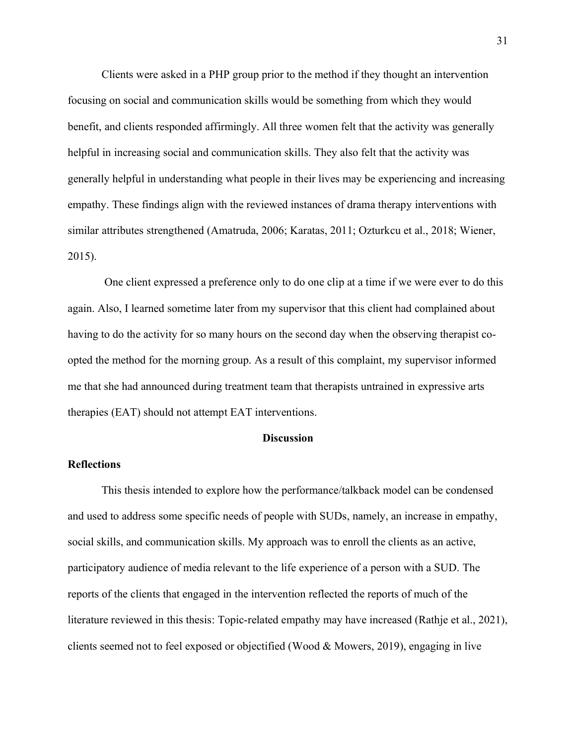Clients were asked in a PHP group prior to the method if they thought an intervention focusing on social and communication skills would be something from which they would benefit, and clients responded affirmingly. All three women felt that the activity was generally helpful in increasing social and communication skills. They also felt that the activity was generally helpful in understanding what people in their lives may be experiencing and increasing empathy. These findings align with the reviewed instances of drama therapy interventions with similar attributes strengthened (Amatruda, 2006; Karatas, 2011; Ozturkcu et al., 2018; Wiener, 2015).

One client expressed a preference only to do one clip at a time if we were ever to do this again. Also, I learned sometime later from my supervisor that this client had complained about having to do the activity for so many hours on the second day when the observing therapist coopted the method for the morning group. As a result of this complaint, my supervisor informed me that she had announced during treatment team that therapists untrained in expressive arts therapies (EAT) should not attempt EAT interventions.

## **Discussion**

## **Reflections**

This thesis intended to explore how the performance/talkback model can be condensed and used to address some specific needs of people with SUDs, namely, an increase in empathy, social skills, and communication skills. My approach was to enroll the clients as an active, participatory audience of media relevant to the life experience of a person with a SUD. The reports of the clients that engaged in the intervention reflected the reports of much of the literature reviewed in this thesis: Topic-related empathy may have increased (Rathje et al., 2021), clients seemed not to feel exposed or objectified (Wood & Mowers, 2019), engaging in live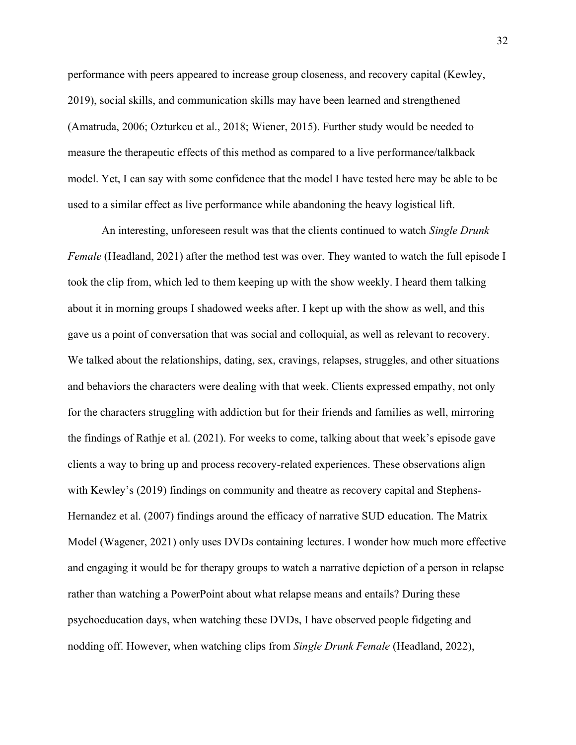performance with peers appeared to increase group closeness, and recovery capital (Kewley, 2019), social skills, and communication skills may have been learned and strengthened (Amatruda, 2006; Ozturkcu et al., 2018; Wiener, 2015). Further study would be needed to measure the therapeutic effects of this method as compared to a live performance/talkback model. Yet, I can say with some confidence that the model I have tested here may be able to be used to a similar effect as live performance while abandoning the heavy logistical lift.

An interesting, unforeseen result was that the clients continued to watch *Single Drunk Female* (Headland, 2021) after the method test was over. They wanted to watch the full episode I took the clip from, which led to them keeping up with the show weekly. I heard them talking about it in morning groups I shadowed weeks after. I kept up with the show as well, and this gave us a point of conversation that was social and colloquial, as well as relevant to recovery. We talked about the relationships, dating, sex, cravings, relapses, struggles, and other situations and behaviors the characters were dealing with that week. Clients expressed empathy, not only for the characters struggling with addiction but for their friends and families as well, mirroring the findings of Rathje et al. (2021). For weeks to come, talking about that week's episode gave clients a way to bring up and process recovery-related experiences. These observations align with Kewley's (2019) findings on community and theatre as recovery capital and Stephens-Hernandez et al. (2007) findings around the efficacy of narrative SUD education. The Matrix Model (Wagener, 2021) only uses DVDs containing lectures. I wonder how much more effective and engaging it would be for therapy groups to watch a narrative depiction of a person in relapse rather than watching a PowerPoint about what relapse means and entails? During these psychoeducation days, when watching these DVDs, I have observed people fidgeting and nodding off. However, when watching clips from *Single Drunk Female* (Headland, 2022),

32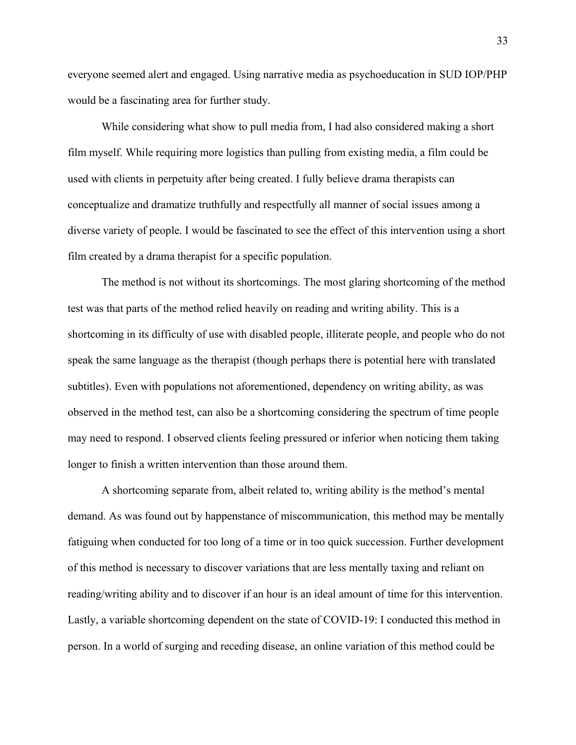everyone seemed alert and engaged. Using narrative media as psychoeducation in SUD IOP/PHP would be a fascinating area for further study.

While considering what show to pull media from, I had also considered making a short film myself. While requiring more logistics than pulling from existing media, a film could be used with clients in perpetuity after being created. I fully believe drama therapists can conceptualize and dramatize truthfully and respectfully all manner of social issues among a diverse variety of people. I would be fascinated to see the effect of this intervention using a short film created by a drama therapist for a specific population.

The method is not without its shortcomings. The most glaring shortcoming of the method test was that parts of the method relied heavily on reading and writing ability. This is a shortcoming in its difficulty of use with disabled people, illiterate people, and people who do not speak the same language as the therapist (though perhaps there is potential here with translated subtitles). Even with populations not aforementioned, dependency on writing ability, as was observed in the method test, can also be a shortcoming considering the spectrum of time people may need to respond. I observed clients feeling pressured or inferior when noticing them taking longer to finish a written intervention than those around them.

A shortcoming separate from, albeit related to, writing ability is the method's mental demand. As was found out by happenstance of miscommunication, this method may be mentally fatiguing when conducted for too long of a time or in too quick succession. Further development of this method is necessary to discover variations that are less mentally taxing and reliant on reading/writing ability and to discover if an hour is an ideal amount of time for this intervention. Lastly, a variable shortcoming dependent on the state of COVID-19: I conducted this method in person. In a world of surging and receding disease, an online variation of this method could be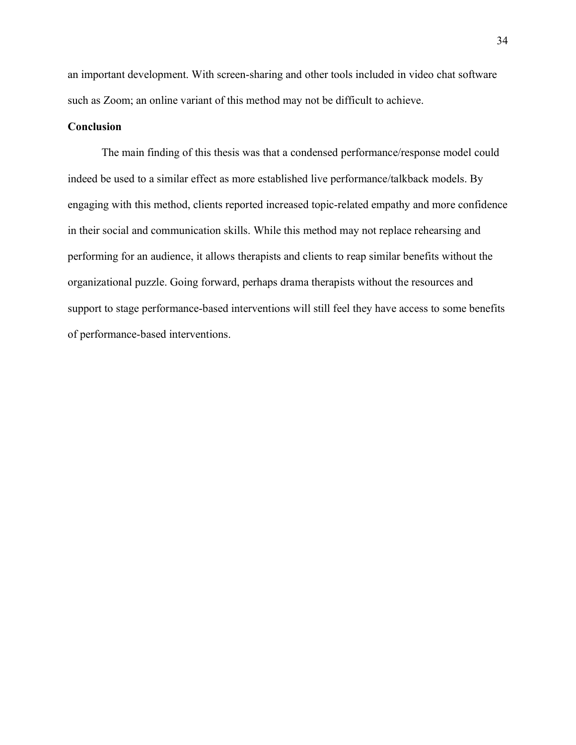an important development. With screen-sharing and other tools included in video chat software such as Zoom; an online variant of this method may not be difficult to achieve.

## **Conclusion**

The main finding of this thesis was that a condensed performance/response model could indeed be used to a similar effect as more established live performance/talkback models. By engaging with this method, clients reported increased topic-related empathy and more confidence in their social and communication skills. While this method may not replace rehearsing and performing for an audience, it allows therapists and clients to reap similar benefits without the organizational puzzle. Going forward, perhaps drama therapists without the resources and support to stage performance-based interventions will still feel they have access to some benefits of performance-based interventions.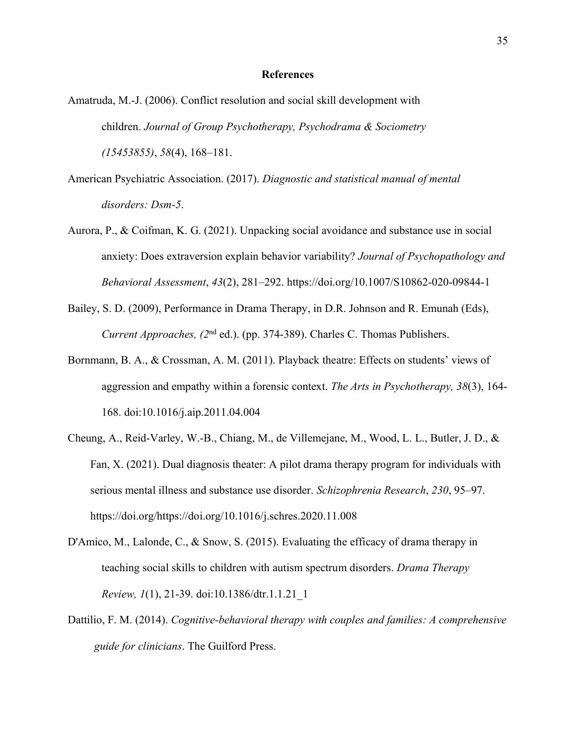### **References**

- Amatruda, M.-J. (2006). Conflict resolution and social skill development with children. *Journal of Group Psychotherapy, Psychodrama & Sociometry (15453855)*, *58*(4), 168–181.
- American Psychiatric Association. (2017). *Diagnostic and statistical manual of mental disorders: Dsm-5*.
- Aurora, P., & Coifman, K. G. (2021). Unpacking social avoidance and substance use in social anxiety: Does extraversion explain behavior variability? *Journal of Psychopathology and Behavioral Assessment*, *43*(2), 281–292. https://doi.org/10.1007/S10862-020-09844-1
- Bailey, S. D. (2009), Performance in Drama Therapy, in D.R. Johnson and R. Emunah (Eds), *Current Approaches, (2*nd ed.). (pp. 374-389). Charles C. Thomas Publishers.
- Bornmann, B. A., & Crossman, A. M. (2011). Playback theatre: Effects on students' views of aggression and empathy within a forensic context. *The Arts in Psychotherapy, 38*(3), 164- 168. doi:10.1016/j.aip.2011.04.004
- Cheung, A., Reid-Varley, W.-B., Chiang, M., de Villemejane, M., Wood, L. L., Butler, J. D., & Fan, X. (2021). Dual diagnosis theater: A pilot drama therapy program for individuals with serious mental illness and substance use disorder. *Schizophrenia Research*, *230*, 95–97. https://doi.org/https://doi.org/10.1016/j.schres.2020.11.008
- D'Amico, M., Lalonde, C., & Snow, S. (2015). Evaluating the efficacy of drama therapy in teaching social skills to children with autism spectrum disorders. *Drama Therapy Review, 1*(1), 21-39. doi:10.1386/dtr.1.1.21\_1
- Dattilio, F. M. (2014). *Cognitive-behavioral therapy with couples and families: A comprehensive guide for clinicians*. The Guilford Press.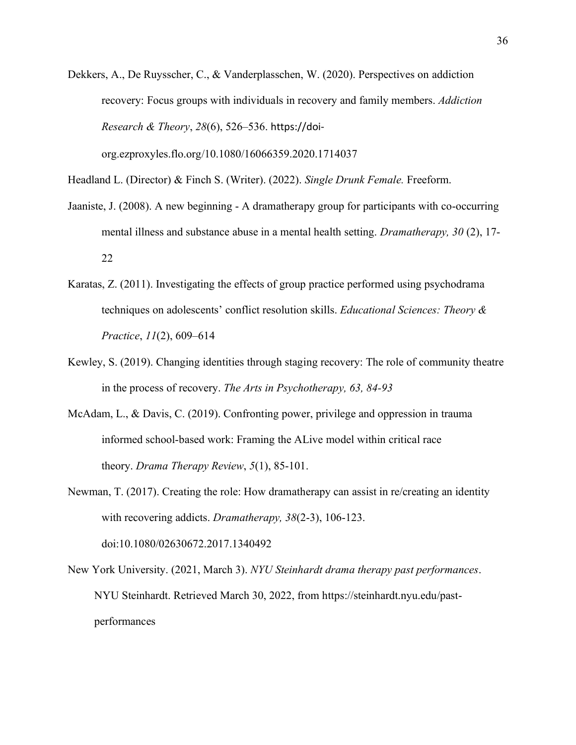Dekkers, A., De Ruysscher, C., & Vanderplasschen, W. (2020). Perspectives on addiction recovery: Focus groups with individuals in recovery and family members. *Addiction Research & Theory*, *28*(6), 526–536. https://doi-

org.ezproxyles.flo.org/10.1080/16066359.2020.1714037

Headland L. (Director) & Finch S. (Writer). (2022). *Single Drunk Female.* Freeform.

- Jaaniste, J. (2008). A new beginning A dramatherapy group for participants with co-occurring mental illness and substance abuse in a mental health setting. *Dramatherapy, 30* (2), 17- 22
- Karatas, Z. (2011). Investigating the effects of group practice performed using psychodrama techniques on adolescents' conflict resolution skills. *Educational Sciences: Theory & Practice*, *11*(2), 609–614
- Kewley, S. (2019). Changing identities through staging recovery: The role of community theatre in the process of recovery. *The Arts in Psychotherapy, 63, 84-93*
- McAdam, L., & Davis, C. (2019). Confronting power, privilege and oppression in trauma informed school-based work: Framing the ALive model within critical race theory. *Drama Therapy Review*, *5*(1), 85-101.

Newman, T. (2017). Creating the role: How dramatherapy can assist in re/creating an identity with recovering addicts. *Dramatherapy, 38*(2-3), 106-123. doi:10.1080/02630672.2017.1340492

New York University. (2021, March 3). *NYU Steinhardt drama therapy past performances*. NYU Steinhardt. Retrieved March 30, 2022, from https://steinhardt.nyu.edu/pastperformances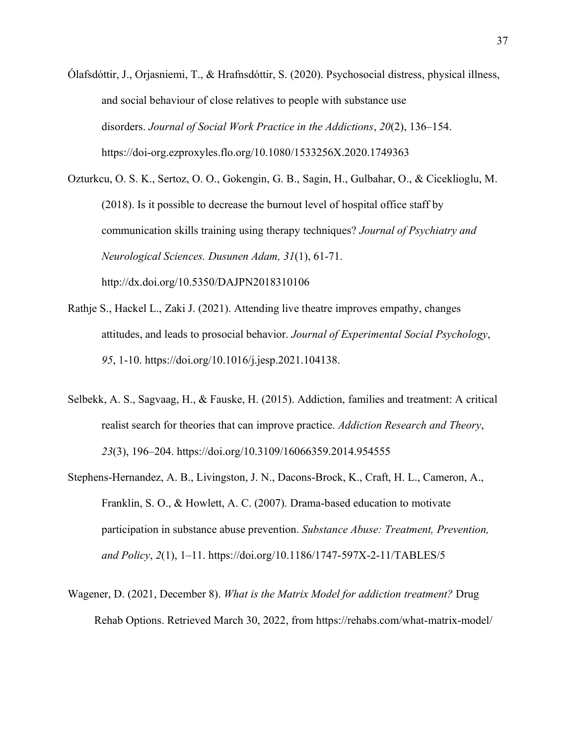Ólafsdóttir, J., Orjasniemi, T., & Hrafnsdóttir, S. (2020). Psychosocial distress, physical illness, and social behaviour of close relatives to people with substance use disorders. *Journal of Social Work Practice in the Addictions*, *20*(2), 136–154. https://doi-org.ezproxyles.flo.org/10.1080/1533256X.2020.1749363

Ozturkcu, O. S. K., Sertoz, O. O., Gokengin, G. B., Sagin, H., Gulbahar, O., & Ciceklioglu, M. (2018). Is it possible to decrease the burnout level of hospital office staff by communication skills training using therapy techniques? *Journal of Psychiatry and Neurological Sciences. Dusunen Adam, 31*(1), 61-71. http://dx.doi.org/10.5350/DAJPN2018310106

- Rathje S., Hackel L., Zaki J. (2021). Attending live theatre improves empathy, changes attitudes, and leads to prosocial behavior. *Journal of Experimental Social Psychology*, *95*, 1-10. https://doi.org/10.1016/j.jesp.2021.104138.
- Selbekk, A. S., Sagvaag, H., & Fauske, H. (2015). Addiction, families and treatment: A critical realist search for theories that can improve practice. *Addiction Research and Theory*, *23*(3), 196–204. https://doi.org/10.3109/16066359.2014.954555
- Stephens-Hernandez, A. B., Livingston, J. N., Dacons-Brock, K., Craft, H. L., Cameron, A., Franklin, S. O., & Howlett, A. C. (2007). Drama-based education to motivate participation in substance abuse prevention. *Substance Abuse: Treatment, Prevention, and Policy*, *2*(1), 1–11. https://doi.org/10.1186/1747-597X-2-11/TABLES/5
- Wagener, D. (2021, December 8). *What is the Matrix Model for addiction treatment?* Drug Rehab Options. Retrieved March 30, 2022, from https://rehabs.com/what-matrix-model/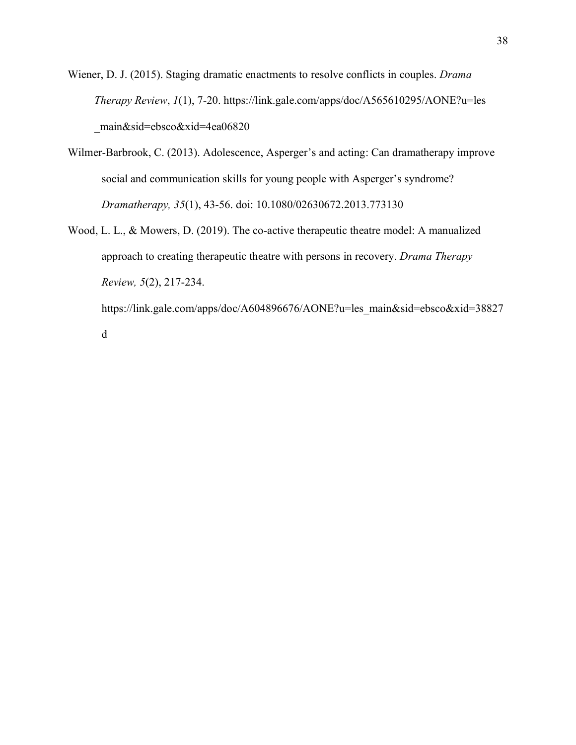Wiener, D. J. (2015). Staging dramatic enactments to resolve conflicts in couples. *Drama Therapy Review*, *1*(1), 7-20. https://link.gale.com/apps/doc/A565610295/AONE?u=les \_main&sid=ebsco&xid=4ea06820

- Wilmer-Barbrook, C. (2013). Adolescence, Asperger's and acting: Can dramatherapy improve social and communication skills for young people with Asperger's syndrome? *Dramatherapy, 35*(1), 43-56. doi: 10.1080/02630672.2013.773130
- Wood, L. L., & Mowers, D. (2019). The co-active therapeutic theatre model: A manualized approach to creating therapeutic theatre with persons in recovery. *Drama Therapy Review, 5*(2), 217-234. https://link.gale.com/apps/doc/A604896676/AONE?u=les\_main&sid=ebsco&xid=38827

d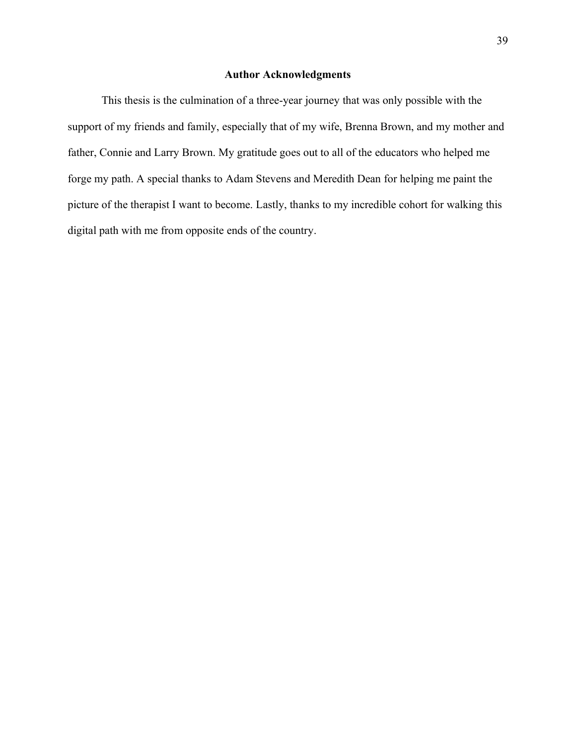## **Author Acknowledgments**

This thesis is the culmination of a three-year journey that was only possible with the support of my friends and family, especially that of my wife, Brenna Brown, and my mother and father, Connie and Larry Brown. My gratitude goes out to all of the educators who helped me forge my path. A special thanks to Adam Stevens and Meredith Dean for helping me paint the picture of the therapist I want to become. Lastly, thanks to my incredible cohort for walking this digital path with me from opposite ends of the country.